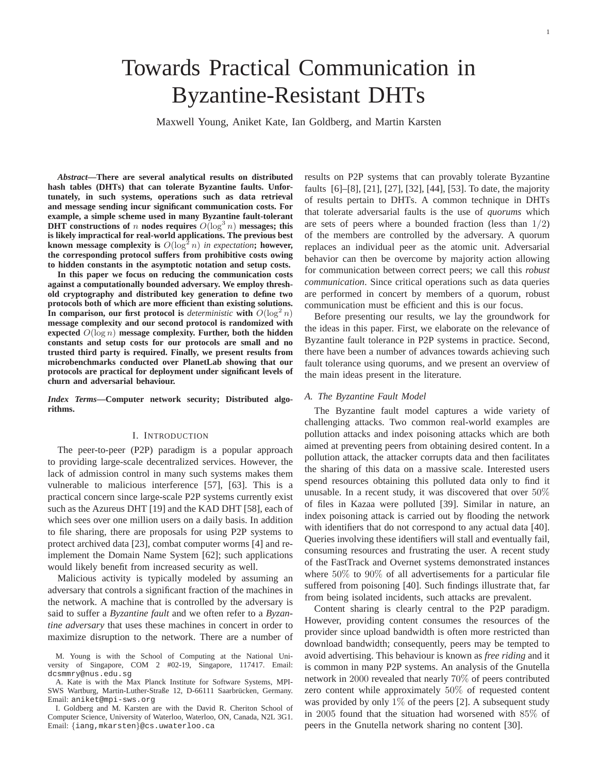# Towards Practical Communication in Byzantine-Resistant DHTs

Maxwell Young, Aniket Kate, Ian Goldberg, and Martin Karsten

*Abstract***—There are several analytical results on distributed hash tables (DHTs) that can tolerate Byzantine faults. Unfortunately, in such systems, operations such as data retrieval and message sending incur significant communication costs. For example, a simple scheme used in many Byzantine fault-tolerant DHT** constructions of n nodes requires  $O(\log^3 n)$  messages; this **is likely impractical for real-world applications. The previous best known message complexity is**  $O(\log^2 n)$  *in expectation***; however, the corresponding protocol suffers from prohibitive costs owing to hidden constants in the asymptotic notation and setup costs.**

**In this paper we focus on reducing the communication costs against a computationally bounded adversary. We employ threshold cryptography and distributed key generation to define two protocols both of which are more efficient than existing solutions.** In comparison, our first protocol is *deterministic* with  $O(\log^2 n)$ **message complexity and our second protocol is randomized with expected** O(log n) **message complexity. Further, both the hidden constants and setup costs for our protocols are small and no trusted third party is required. Finally, we present results from microbenchmarks conducted over PlanetLab showing that our protocols are practical for deployment under significant levels of churn and adversarial behaviour.**

*Index Terms***—Computer network security; Distributed algorithms.**

## I. INTRODUCTION

The peer-to-peer (P2P) paradigm is a popular approach to providing large-scale decentralized services. However, the lack of admission control in many such systems makes them vulnerable to malicious interference [57], [63]. This is a practical concern since large-scale P2P systems currently exist such as the Azureus DHT [19] and the KAD DHT [58], each of which sees over one million users on a daily basis. In addition to file sharing, there are proposals for using P2P systems to protect archived data [23], combat computer worms [4] and reimplement the Domain Name System [62]; such applications would likely benefit from increased security as well.

Malicious activity is typically modeled by assuming an adversary that controls a significant fraction of the machines in the network. A machine that is controlled by the adversary is said to suffer a *Byzantine fault* and we often refer to a *Byzantine adversary* that uses these machines in concert in order to maximize disruption to the network. There are a number of results on P2P systems that can provably tolerate Byzantine faults [6]–[8], [21], [27], [32], [44], [53]. To date, the majority of results pertain to DHTs. A common technique in DHTs that tolerate adversarial faults is the use of *quorums* which are sets of peers where a bounded fraction (less than  $1/2$ ) of the members are controlled by the adversary. A quorum replaces an individual peer as the atomic unit. Adversarial behavior can then be overcome by majority action allowing for communication between correct peers; we call this *robust communication*. Since critical operations such as data queries are performed in concert by members of a quorum, robust communication must be efficient and this is our focus.

Before presenting our results, we lay the groundwork for the ideas in this paper. First, we elaborate on the relevance of Byzantine fault tolerance in P2P systems in practice. Second, there have been a number of advances towards achieving such fault tolerance using quorums, and we present an overview of the main ideas present in the literature.

## *A. The Byzantine Fault Model*

The Byzantine fault model captures a wide variety of challenging attacks. Two common real-world examples are pollution attacks and index poisoning attacks which are both aimed at preventing peers from obtaining desired content. In a pollution attack, the attacker corrupts data and then facilitates the sharing of this data on a massive scale. Interested users spend resources obtaining this polluted data only to find it unusable. In a recent study, it was discovered that over 50% of files in Kazaa were polluted [39]. Similar in nature, an index poisoning attack is carried out by flooding the network with identifiers that do not correspond to any actual data [40]. Queries involving these identifiers will stall and eventually fail, consuming resources and frustrating the user. A recent study of the FastTrack and Overnet systems demonstrated instances where 50% to 90% of all advertisements for a particular file suffered from poisoning [40]. Such findings illustrate that, far from being isolated incidents, such attacks are prevalent.

Content sharing is clearly central to the P2P paradigm. However, providing content consumes the resources of the provider since upload bandwidth is often more restricted than download bandwidth; consequently, peers may be tempted to avoid advertising. This behaviour is known as *free riding* and it is common in many P2P systems. An analysis of the Gnutella network in 2000 revealed that nearly 70% of peers contributed zero content while approximately 50% of requested content was provided by only  $1\%$  of the peers [2]. A subsequent study in 2005 found that the situation had worsened with 85% of peers in the Gnutella network sharing no content [30].

M. Young is with the School of Computing at the National University of Singapore, COM 2 #02-19, Singapore, 117417. Email: dcsmmry@nus.edu.sg

A. Kate is with the Max Planck Institute for Software Systems, MPI-SWS Wartburg, Martin-Luther-Straße 12, D-66111 Saarbrücken, Germany. Email: aniket@mpi-sws.org

I. Goldberg and M. Karsten are with the David R. Cheriton School of Computer Science, University of Waterloo, Waterloo, ON, Canada, N2L 3G1. Email: {iang,mkarsten}@cs.uwaterloo.ca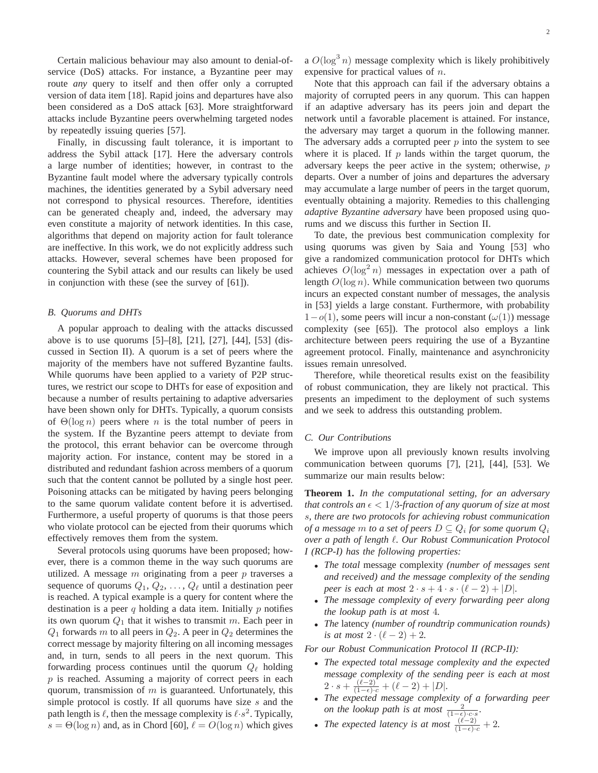Certain malicious behaviour may also amount to denial-ofservice (DoS) attacks. For instance, a Byzantine peer may route *any* query to itself and then offer only a corrupted version of data item [18]. Rapid joins and departures have also been considered as a DoS attack [63]. More straightforward attacks include Byzantine peers overwhelming targeted nodes by repeatedly issuing queries [57].

Finally, in discussing fault tolerance, it is important to address the Sybil attack [17]. Here the adversary controls a large number of identities; however, in contrast to the Byzantine fault model where the adversary typically controls machines, the identities generated by a Sybil adversary need not correspond to physical resources. Therefore, identities can be generated cheaply and, indeed, the adversary may even constitute a majority of network identities. In this case, algorithms that depend on majority action for fault tolerance are ineffective. In this work, we do not explicitly address such attacks. However, several schemes have been proposed for countering the Sybil attack and our results can likely be used in conjunction with these (see the survey of [61]).

## *B. Quorums and DHTs*

A popular approach to dealing with the attacks discussed above is to use quorums [5]–[8], [21], [27], [44], [53] (discussed in Section II). A quorum is a set of peers where the majority of the members have not suffered Byzantine faults. While quorums have been applied to a variety of P2P structures, we restrict our scope to DHTs for ease of exposition and because a number of results pertaining to adaptive adversaries have been shown only for DHTs. Typically, a quorum consists of  $\Theta(\log n)$  peers where n is the total number of peers in the system. If the Byzantine peers attempt to deviate from the protocol, this errant behavior can be overcome through majority action. For instance, content may be stored in a distributed and redundant fashion across members of a quorum such that the content cannot be polluted by a single host peer. Poisoning attacks can be mitigated by having peers belonging to the same quorum validate content before it is advertised. Furthermore, a useful property of quorums is that those peers who violate protocol can be ejected from their quorums which effectively removes them from the system.

Several protocols using quorums have been proposed; however, there is a common theme in the way such quorums are utilized. A message  $m$  originating from a peer  $p$  traverses a sequence of quorums  $Q_1, Q_2, \ldots, Q_\ell$  until a destination peer is reached. A typical example is a query for content where the destination is a peer  $q$  holding a data item. Initially  $p$  notifies its own quorum  $Q_1$  that it wishes to transmit m. Each peer in  $Q_1$  forwards m to all peers in  $Q_2$ . A peer in  $Q_2$  determines the correct message by majority filtering on all incoming messages and, in turn, sends to all peers in the next quorum. This forwarding process continues until the quorum  $Q_{\ell}$  holding p is reached. Assuming a majority of correct peers in each quorum, transmission of  $m$  is guaranteed. Unfortunately, this simple protocol is costly. If all quorums have size  $s$  and the path length is  $\ell$ , then the message complexity is  $\ell \cdot s^2$ . Typically,  $s = \Theta(\log n)$  and, as in Chord [60],  $\ell = O(\log n)$  which gives a  $O(\log^3 n)$  message complexity which is likely prohibitively expensive for practical values of n.

Note that this approach can fail if the adversary obtains a majority of corrupted peers in any quorum. This can happen if an adaptive adversary has its peers join and depart the network until a favorable placement is attained. For instance, the adversary may target a quorum in the following manner. The adversary adds a corrupted peer  $p$  into the system to see where it is placed. If  $p$  lands within the target quorum, the adversary keeps the peer active in the system; otherwise, p departs. Over a number of joins and departures the adversary may accumulate a large number of peers in the target quorum, eventually obtaining a majority. Remedies to this challenging *adaptive Byzantine adversary* have been proposed using quorums and we discuss this further in Section II.

To date, the previous best communication complexity for using quorums was given by Saia and Young [53] who give a randomized communication protocol for DHTs which achieves  $O(\log^2 n)$  messages in expectation over a path of length  $O(\log n)$ . While communication between two quorums incurs an expected constant number of messages, the analysis in [53] yields a large constant. Furthermore, with probability  $1-o(1)$ , some peers will incur a non-constant  $(\omega(1))$  message complexity (see [65]). The protocol also employs a link architecture between peers requiring the use of a Byzantine agreement protocol. Finally, maintenance and asynchronicity issues remain unresolved.

Therefore, while theoretical results exist on the feasibility of robust communication, they are likely not practical. This presents an impediment to the deployment of such systems and we seek to address this outstanding problem.

#### *C. Our Contributions*

We improve upon all previously known results involving communication between quorums [7], [21], [44], [53]. We summarize our main results below:

**Theorem 1.** *In the computational setting, for an adversary that controls an*  $\epsilon < 1/3$ -fraction of any quorum of size at most s*, there are two protocols for achieving robust communication of a message*  $m$  *to a set of peers*  $D \subseteq Q_i$  *for some quorum*  $Q_i$ *over a path of length* ℓ*. Our Robust Communication Protocol I (RCP-I) has the following properties:*

- *The total* message complexity *(number of messages sent and received) and the message complexity of the sending peer is each at most*  $2 \cdot s + 4 \cdot s \cdot (\ell - 2) + |D|$ *.*
- *The message complexity of every forwarding peer along the lookup path is at most* 4*.*
- *The* latency *(number of roundtrip communication rounds) is at most*  $2 \cdot (\ell - 2) + 2$ .

*For our Robust Communication Protocol II (RCP-II):*

- *The expected total message complexity and the expected message complexity of the sending peer is each at most*  $2 \cdot s + \frac{(\ell-2)^{r}}{(1-\epsilon)\cdot c} + (\ell-2) + |D|.$
- *The expected message complexity of a forwarding peer on the lookup path is at most*  $\frac{2}{(1-\epsilon)\cdot c\cdot s}$ *.*
- *The expected latency is at most*  $\frac{(\ell-2)}{(1-\epsilon)\cdot c} + 2$ .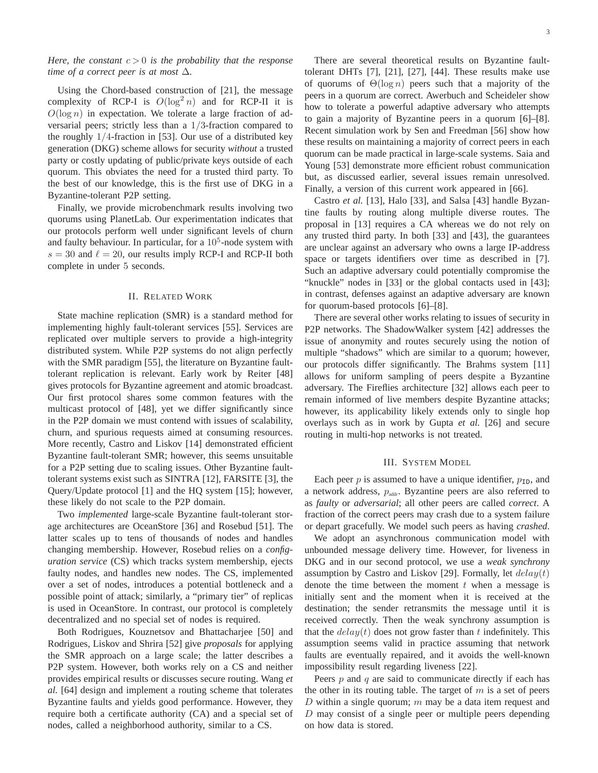## *Here, the constant*  $c > 0$  *is the probability that the response time of a correct peer is at most* ∆*.*

Using the Chord-based construction of [21], the message complexity of RCP-I is  $O(\log^2 n)$  and for RCP-II it is  $O(\log n)$  in expectation. We tolerate a large fraction of adversarial peers; strictly less than a 1/3-fraction compared to the roughly 1/4-fraction in [53]. Our use of a distributed key generation (DKG) scheme allows for security *without* a trusted party or costly updating of public/private keys outside of each quorum. This obviates the need for a trusted third party. To the best of our knowledge, this is the first use of DKG in a Byzantine-tolerant P2P setting.

Finally, we provide microbenchmark results involving two quorums using PlanetLab. Our experimentation indicates that our protocols perform well under significant levels of churn and faulty behaviour. In particular, for a  $10<sup>5</sup>$ -node system with  $s = 30$  and  $\ell = 20$ , our results imply RCP-I and RCP-II both complete in under 5 seconds.

#### II. RELATED WORK

State machine replication (SMR) is a standard method for implementing highly fault-tolerant services [55]. Services are replicated over multiple servers to provide a high-integrity distributed system. While P2P systems do not align perfectly with the SMR paradigm [55], the literature on Byzantine faulttolerant replication is relevant. Early work by Reiter [48] gives protocols for Byzantine agreement and atomic broadcast. Our first protocol shares some common features with the multicast protocol of [48], yet we differ significantly since in the P2P domain we must contend with issues of scalability, churn, and spurious requests aimed at consuming resources. More recently, Castro and Liskov [14] demonstrated efficient Byzantine fault-tolerant SMR; however, this seems unsuitable for a P2P setting due to scaling issues. Other Byzantine faulttolerant systems exist such as SINTRA [12], FARSITE [3], the Query/Update protocol [1] and the HQ system [15]; however, these likely do not scale to the P2P domain.

Two *implemented* large-scale Byzantine fault-tolerant storage architectures are OceanStore [36] and Rosebud [51]. The latter scales up to tens of thousands of nodes and handles changing membership. However, Rosebud relies on a *configuration service* (CS) which tracks system membership, ejects faulty nodes, and handles new nodes. The CS, implemented over a set of nodes, introduces a potential bottleneck and a possible point of attack; similarly, a "primary tier" of replicas is used in OceanStore. In contrast, our protocol is completely decentralized and no special set of nodes is required.

Both Rodrigues, Kouznetsov and Bhattacharjee [50] and Rodrigues, Liskov and Shrira [52] give *proposals* for applying the SMR approach on a large scale; the latter describes a P2P system. However, both works rely on a CS and neither provides empirical results or discusses secure routing. Wang *et al.* [64] design and implement a routing scheme that tolerates Byzantine faults and yields good performance. However, they require both a certificate authority (CA) and a special set of nodes, called a neighborhood authority, similar to a CS.

There are several theoretical results on Byzantine faulttolerant DHTs [7], [21], [27], [44]. These results make use of quorums of  $\Theta(\log n)$  peers such that a majority of the peers in a quorum are correct. Awerbuch and Scheideler show how to tolerate a powerful adaptive adversary who attempts to gain a majority of Byzantine peers in a quorum [6]–[8]. Recent simulation work by Sen and Freedman [56] show how these results on maintaining a majority of correct peers in each quorum can be made practical in large-scale systems. Saia and Young [53] demonstrate more efficient robust communication but, as discussed earlier, several issues remain unresolved. Finally, a version of this current work appeared in [66].

Castro *et al.* [13], Halo [33], and Salsa [43] handle Byzantine faults by routing along multiple diverse routes. The proposal in [13] requires a CA whereas we do not rely on any trusted third party. In both [33] and [43], the guarantees are unclear against an adversary who owns a large IP-address space or targets identifiers over time as described in [7]. Such an adaptive adversary could potentially compromise the "knuckle" nodes in [33] or the global contacts used in [43]; in contrast, defenses against an adaptive adversary are known for quorum-based protocols [6]–[8].

There are several other works relating to issues of security in P2P networks. The ShadowWalker system [42] addresses the issue of anonymity and routes securely using the notion of multiple "shadows" which are similar to a quorum; however, our protocols differ significantly. The Brahms system [11] allows for uniform sampling of peers despite a Byzantine adversary. The Fireflies architecture [32] allows each peer to remain informed of live members despite Byzantine attacks; however, its applicability likely extends only to single hop overlays such as in work by Gupta *et al.* [26] and secure routing in multi-hop networks is not treated.

#### III. SYSTEM MODEL

Each peer  $p$  is assumed to have a unique identifier,  $p_{ID}$ , and a network address,  $p_{\text{addr}}$ . Byzantine peers are also referred to as *faulty* or *adversarial*; all other peers are called *correct*. A fraction of the correct peers may crash due to a system failure or depart gracefully. We model such peers as having *crashed*.

We adopt an asynchronous communication model with unbounded message delivery time. However, for liveness in DKG and in our second protocol, we use a *weak synchrony* assumption by Castro and Liskov [29]. Formally, let  $delay(t)$ denote the time between the moment  $t$  when a message is initially sent and the moment when it is received at the destination; the sender retransmits the message until it is received correctly. Then the weak synchrony assumption is that the  $delay(t)$  does not grow faster than t indefinitely. This assumption seems valid in practice assuming that network faults are eventually repaired, and it avoids the well-known impossibility result regarding liveness [22].

Peers  $p$  and  $q$  are said to communicate directly if each has the other in its routing table. The target of  $m$  is a set of peers D within a single quorum;  $m$  may be a data item request and  $D$  may consist of a single peer or multiple peers depending on how data is stored.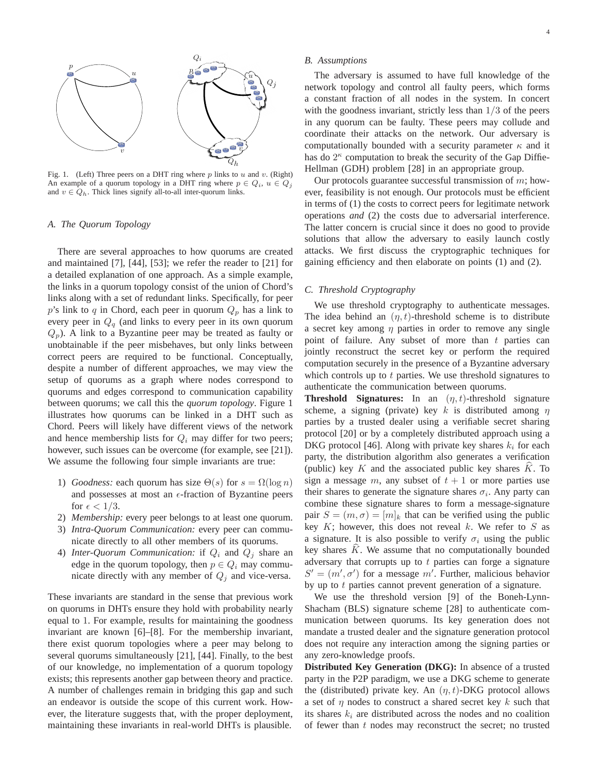

Fig. 1. (Left) Three peers on a DHT ring where  $p$  links to  $u$  and  $v$ . (Right) An example of a quorum topology in a DHT ring where  $p \in Q_i$ ,  $u \in Q_j$ and  $v \in Q_h$ . Thick lines signify all-to-all inter-quorum links.

#### *A. The Quorum Topology*

There are several approaches to how quorums are created and maintained [7], [44], [53]; we refer the reader to [21] for a detailed explanation of one approach. As a simple example, the links in a quorum topology consist of the union of Chord's links along with a set of redundant links. Specifically, for peer p's link to q in Chord, each peer in quorum  $Q_p$  has a link to every peer in  $Q_q$  (and links to every peer in its own quorum  $Q_p$ ). A link to a Byzantine peer may be treated as faulty or unobtainable if the peer misbehaves, but only links between correct peers are required to be functional. Conceptually, despite a number of different approaches, we may view the setup of quorums as a graph where nodes correspond to quorums and edges correspond to communication capability between quorums; we call this the *quorum topology*. Figure 1 illustrates how quorums can be linked in a DHT such as Chord. Peers will likely have different views of the network and hence membership lists for  $Q_i$  may differ for two peers; however, such issues can be overcome (for example, see [21]). We assume the following four simple invariants are true:

- 1) *Goodness:* each quorum has size  $\Theta(s)$  for  $s = \Omega(\log n)$ and possesses at most an  $\epsilon$ -fraction of Byzantine peers for  $\epsilon < 1/3$ .
- 2) *Membership:* every peer belongs to at least one quorum.
- 3) *Intra-Quorum Communication:* every peer can communicate directly to all other members of its quorums.
- 4) *Inter-Quorum Communication:* if  $Q_i$  and  $Q_j$  share an edge in the quorum topology, then  $p \in Q_i$  may communicate directly with any member of  $Q_i$  and vice-versa.

These invariants are standard in the sense that previous work on quorums in DHTs ensure they hold with probability nearly equal to 1. For example, results for maintaining the goodness invariant are known [6]–[8]. For the membership invariant, there exist quorum topologies where a peer may belong to several quorums simultaneously [21], [44]. Finally, to the best of our knowledge, no implementation of a quorum topology exists; this represents another gap between theory and practice. A number of challenges remain in bridging this gap and such an endeavor is outside the scope of this current work. However, the literature suggests that, with the proper deployment, maintaining these invariants in real-world DHTs is plausible.

## *B. Assumptions*

The adversary is assumed to have full knowledge of the network topology and control all faulty peers, which forms a constant fraction of all nodes in the system. In concert with the goodness invariant, strictly less than  $1/3$  of the peers in any quorum can be faulty. These peers may collude and coordinate their attacks on the network. Our adversary is computationally bounded with a security parameter  $\kappa$  and it has do  $2^{\kappa}$  computation to break the security of the Gap Diffie-Hellman (GDH) problem [28] in an appropriate group.

Our protocols guarantee successful transmission of  $m$ ; however, feasibility is not enough. Our protocols must be efficient in terms of (1) the costs to correct peers for legitimate network operations *and* (2) the costs due to adversarial interference. The latter concern is crucial since it does no good to provide solutions that allow the adversary to easily launch costly attacks. We first discuss the cryptographic techniques for gaining efficiency and then elaborate on points (1) and (2).

#### *C. Threshold Cryptography*

We use threshold cryptography to authenticate messages. The idea behind an  $(\eta, t)$ -threshold scheme is to distribute a secret key among  $\eta$  parties in order to remove any single point of failure. Any subset of more than  $t$  parties can jointly reconstruct the secret key or perform the required computation securely in the presence of a Byzantine adversary which controls up to  $t$  parties. We use threshold signatures to authenticate the communication between quorums.

**Threshold Signatures:** In an  $(\eta, t)$ -threshold signature scheme, a signing (private) key k is distributed among  $\eta$ parties by a trusted dealer using a verifiable secret sharing protocol [20] or by a completely distributed approach using a DKG protocol [46]. Along with private key shares  $k_i$  for each party, the distribution algorithm also generates a verification (public) key  $K$  and the associated public key shares  $K$ . To sign a message m, any subset of  $t + 1$  or more parties use their shares to generate the signature shares  $\sigma_i$ . Any party can combine these signature shares to form a message-signature pair  $S = (m, \sigma) = [m]_k$  that can be verified using the public key  $K$ ; however, this does not reveal  $k$ . We refer to  $S$  as a signature. It is also possible to verify  $\sigma_i$  using the public key shares  $K$ . We assume that no computationally bounded adversary that corrupts up to  $t$  parties can forge a signature  $S' = (m', \sigma')$  for a message m'. Further, malicious behavior by up to  $t$  parties cannot prevent generation of a signature.

We use the threshold version [9] of the Boneh-Lynn-Shacham (BLS) signature scheme [28] to authenticate communication between quorums. Its key generation does not mandate a trusted dealer and the signature generation protocol does not require any interaction among the signing parties or any zero-knowledge proofs.

**Distributed Key Generation (DKG):** In absence of a trusted party in the P2P paradigm, we use a DKG scheme to generate the (distributed) private key. An  $(\eta, t)$ -DKG protocol allows a set of  $\eta$  nodes to construct a shared secret key k such that its shares  $k_i$  are distributed across the nodes and no coalition of fewer than t nodes may reconstruct the secret; no trusted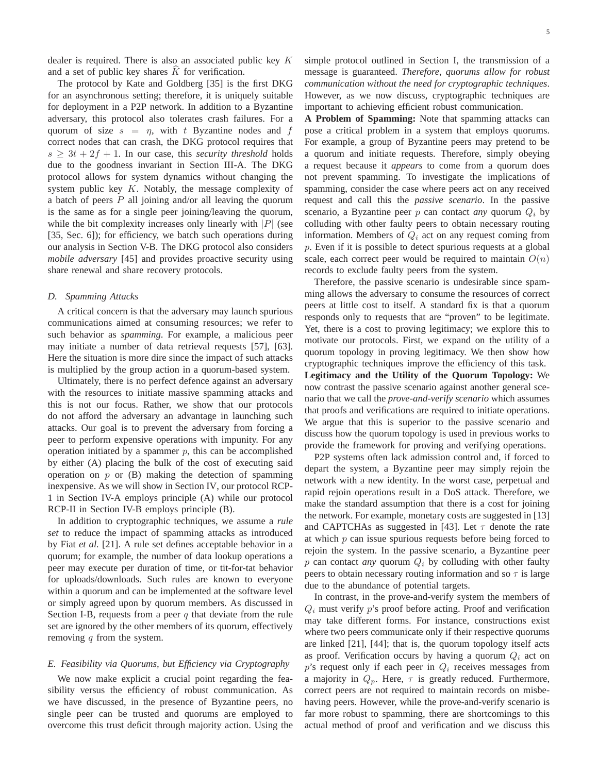dealer is required. There is also an associated public key K and a set of public key shares  $K$  for verification.

The protocol by Kate and Goldberg [35] is the first DKG for an asynchronous setting; therefore, it is uniquely suitable for deployment in a P2P network. In addition to a Byzantine adversary, this protocol also tolerates crash failures. For a quorum of size  $s = \eta$ , with t Byzantine nodes and f correct nodes that can crash, the DKG protocol requires that  $s \geq 3t + 2f + 1$ . In our case, this *security threshold* holds due to the goodness invariant in Section III-A. The DKG protocol allows for system dynamics without changing the system public key  $K$ . Notably, the message complexity of a batch of peers  $P$  all joining and/or all leaving the quorum is the same as for a single peer joining/leaving the quorum, while the bit complexity increases only linearly with  $|P|$  (see [35, Sec. 6]); for efficiency, we batch such operations during our analysis in Section V-B. The DKG protocol also considers *mobile adversary* [45] and provides proactive security using share renewal and share recovery protocols.

## *D. Spamming Attacks*

A critical concern is that the adversary may launch spurious communications aimed at consuming resources; we refer to such behavior as *spamming*. For example, a malicious peer may initiate a number of data retrieval requests [57], [63]. Here the situation is more dire since the impact of such attacks is multiplied by the group action in a quorum-based system.

Ultimately, there is no perfect defence against an adversary with the resources to initiate massive spamming attacks and this is not our focus. Rather, we show that our protocols do not afford the adversary an advantage in launching such attacks. Our goal is to prevent the adversary from forcing a peer to perform expensive operations with impunity. For any operation initiated by a spammer  $p$ , this can be accomplished by either (A) placing the bulk of the cost of executing said operation on  $p$  or (B) making the detection of spamming inexpensive. As we will show in Section IV, our protocol RCP-1 in Section IV-A employs principle (A) while our protocol RCP-II in Section IV-B employs principle (B).

In addition to cryptographic techniques, we assume a *rule set* to reduce the impact of spamming attacks as introduced by Fiat *et al.* [21]. A rule set defines acceptable behavior in a quorum; for example, the number of data lookup operations a peer may execute per duration of time, or tit-for-tat behavior for uploads/downloads. Such rules are known to everyone within a quorum and can be implemented at the software level or simply agreed upon by quorum members. As discussed in Section I-B, requests from a peer  $q$  that deviate from the rule set are ignored by the other members of its quorum, effectively removing  $q$  from the system.

## *E. Feasibility via Quorums, but Efficiency via Cryptography*

We now make explicit a crucial point regarding the feasibility versus the efficiency of robust communication. As we have discussed, in the presence of Byzantine peers, no single peer can be trusted and quorums are employed to overcome this trust deficit through majority action. Using the simple protocol outlined in Section I, the transmission of a message is guaranteed. *Therefore, quorums allow for robust communication without the need for cryptographic techniques*. However, as we now discuss, cryptographic techniques are important to achieving efficient robust communication.

**A Problem of Spamming:** Note that spamming attacks can pose a critical problem in a system that employs quorums. For example, a group of Byzantine peers may pretend to be a quorum and initiate requests. Therefore, simply obeying a request because it *appears* to come from a quorum does not prevent spamming. To investigate the implications of spamming, consider the case where peers act on any received request and call this the *passive scenario*. In the passive scenario, a Byzantine peer  $p$  can contact *any* quorum  $Q_i$  by colluding with other faulty peers to obtain necessary routing information. Members of  $Q_i$  act on any request coming from p. Even if it is possible to detect spurious requests at a global scale, each correct peer would be required to maintain  $O(n)$ records to exclude faulty peers from the system.

Therefore, the passive scenario is undesirable since spamming allows the adversary to consume the resources of correct peers at little cost to itself. A standard fix is that a quorum responds only to requests that are "proven" to be legitimate. Yet, there is a cost to proving legitimacy; we explore this to motivate our protocols. First, we expand on the utility of a quorum topology in proving legitimacy. We then show how cryptographic techniques improve the efficiency of this task. **Legitimacy and the Utility of the Quorum Topology:** We now contrast the passive scenario against another general scenario that we call the *prove-and-verify scenario* which assumes that proofs and verifications are required to initiate operations. We argue that this is superior to the passive scenario and discuss how the quorum topology is used in previous works to provide the framework for proving and verifying operations.

P2P systems often lack admission control and, if forced to depart the system, a Byzantine peer may simply rejoin the network with a new identity. In the worst case, perpetual and rapid rejoin operations result in a DoS attack. Therefore, we make the standard assumption that there is a cost for joining the network. For example, monetary costs are suggested in [13] and CAPTCHAs as suggested in [43]. Let  $\tau$  denote the rate at which p can issue spurious requests before being forced to rejoin the system. In the passive scenario, a Byzantine peer  $p$  can contact *any* quorum  $Q_i$  by colluding with other faulty peers to obtain necessary routing information and so  $\tau$  is large due to the abundance of potential targets.

In contrast, in the prove-and-verify system the members of  $Q_i$  must verify p's proof before acting. Proof and verification may take different forms. For instance, constructions exist where two peers communicate only if their respective quorums are linked [21], [44]; that is, the quorum topology itself acts as proof. Verification occurs by having a quorum  $Q_i$  act on  $p$ 's request only if each peer in  $Q_i$  receives messages from a majority in  $Q_p$ . Here,  $\tau$  is greatly reduced. Furthermore, correct peers are not required to maintain records on misbehaving peers. However, while the prove-and-verify scenario is far more robust to spamming, there are shortcomings to this actual method of proof and verification and we discuss this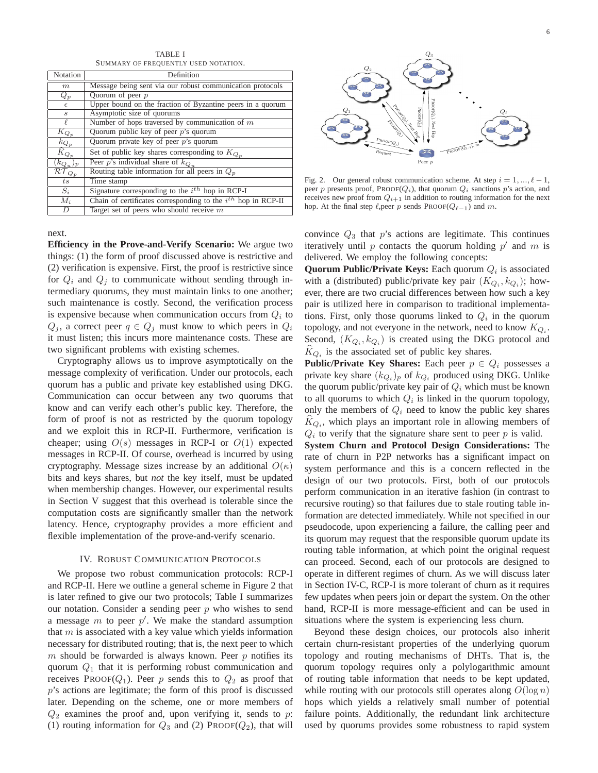TABLE I SUMMARY OF FREQUENTLY USED NOTATION.

| <b>Notation</b>                                    | Definition                                                        |
|----------------------------------------------------|-------------------------------------------------------------------|
| m                                                  | Message being sent via our robust communication protocols         |
| $Q_p$                                              | Ouorum of peer $p$                                                |
| $\epsilon$                                         | Upper bound on the fraction of Byzantine peers in a quorum        |
| $\mathcal{S}$                                      | Asymptotic size of quorums                                        |
| ł.                                                 | Number of hops traversed by communication of $m$                  |
| $K_{Q_p}$                                          | Quorum public key of peer $p$ 's quorum                           |
|                                                    | Quorum private key of peer $p$ 's quorum                          |
| $\frac{k_{Q_p}}{\widehat{K}_{Q_p}}$                | Set of public key shares corresponding to $K_{Q_p}$               |
|                                                    | Peer p's individual share of $k_{Qu}$                             |
| $\frac{\overline{(k_{Qu})_p}}{\mathcal{RT}_{Q_p}}$ | Routing table information for all peers in $Q_n$                  |
| ts                                                 | Time stamp                                                        |
| $S_i$                                              | Signature corresponding to the $i^{th}$ hop in RCP-I              |
| $M_i$                                              | Chain of certificates corresponding to the $i^{th}$ hop in RCP-II |
| $\overline{D}$                                     | Target set of peers who should receive $m$                        |

next.

**Efficiency in the Prove-and-Verify Scenario:** We argue two things: (1) the form of proof discussed above is restrictive and (2) verification is expensive. First, the proof is restrictive since for  $Q_i$  and  $Q_j$  to communicate without sending through intermediary quorums, they must maintain links to one another; such maintenance is costly. Second, the verification process is expensive because when communication occurs from  $Q_i$  to  $Q_j$ , a correct peer  $q \in Q_j$  must know to which peers in  $Q_i$ it must listen; this incurs more maintenance costs. These are two significant problems with existing schemes.

Cryptography allows us to improve asymptotically on the message complexity of verification. Under our protocols, each quorum has a public and private key established using DKG. Communication can occur between any two quorums that know and can verify each other's public key. Therefore, the form of proof is not as restricted by the quorum topology and we exploit this in RCP-II. Furthermore, verification is cheaper; using  $O(s)$  messages in RCP-I or  $O(1)$  expected messages in RCP-II. Of course, overhead is incurred by using cryptography. Message sizes increase by an additional  $O(\kappa)$ bits and keys shares, but *not* the key itself, must be updated when membership changes. However, our experimental results in Section V suggest that this overhead is tolerable since the computation costs are significantly smaller than the network latency. Hence, cryptography provides a more efficient and flexible implementation of the prove-and-verify scenario.

#### IV. ROBUST COMMUNICATION PROTOCOLS

We propose two robust communication protocols: RCP-I and RCP-II. Here we outline a general scheme in Figure 2 that is later refined to give our two protocols; Table I summarizes our notation. Consider a sending peer  $p$  who wishes to send a message  $m$  to peer  $p'$ . We make the standard assumption that  $m$  is associated with a key value which yields information necessary for distributed routing; that is, the next peer to which  $m$  should be forwarded is always known. Peer  $p$  notifies its quorum  $Q_1$  that it is performing robust communication and receives PROOF( $Q_1$ ). Peer p sends this to  $Q_2$  as proof that p's actions are legitimate; the form of this proof is discussed later. Depending on the scheme, one or more members of  $Q_2$  examines the proof and, upon verifying it, sends to p: (1) routing information for  $Q_3$  and (2) PROOF( $Q_2$ ), that will



Fig. 2. Our general robust communication scheme. At step  $i = 1, ..., \ell - 1$ , peer p presents proof, PROOF( $Q_i$ ), that quorum  $Q_i$  sanctions p's action, and receives new proof from  $Q_{i+1}$  in addition to routing information for the next hop. At the final step  $\ell$ , peer p sends PROOF( $Q_{\ell-1}$ ) and m.

convince  $Q_3$  that  $p$ 's actions are legitimate. This continues iteratively until  $p$  contacts the quorum holding  $p'$  and  $m$  is delivered. We employ the following concepts:

**Quorum Public/Private Keys:** Each quorum  $Q_i$  is associated with a (distributed) public/private key pair  $(K_{Q_i}, k_{Q_i})$ ; however, there are two crucial differences between how such a key pair is utilized here in comparison to traditional implementations. First, only those quorums linked to  $Q_i$  in the quorum topology, and not everyone in the network, need to know  $K_{Q_i}$ . Second,  $(K_{Q_i}, k_{Q_i})$  is created using the DKG protocol and  $K_{Q_i}$  is the associated set of public key shares.

**Public/Private Key Shares:** Each peer  $p \in Q_i$  possesses a private key share  $(k_{Q_i})_p$  of  $k_{Q_i}$  produced using DKG. Unlike the quorum public/private key pair of  $Q_i$  which must be known to all quorums to which  $Q_i$  is linked in the quorum topology, only the members of  $Q_i$  need to know the public key shares  $K_{Q_i}$ , which plays an important role in allowing members of  $Q_i$  to verify that the signature share sent to peer  $p$  is valid.

**System Churn and Protocol Design Considerations:** The rate of churn in P2P networks has a significant impact on system performance and this is a concern reflected in the design of our two protocols. First, both of our protocols perform communication in an iterative fashion (in contrast to recursive routing) so that failures due to stale routing table information are detected immediately. While not specified in our pseudocode, upon experiencing a failure, the calling peer and its quorum may request that the responsible quorum update its routing table information, at which point the original request can proceed. Second, each of our protocols are designed to operate in different regimes of churn. As we will discuss later in Section IV-C, RCP-I is more tolerant of churn as it requires few updates when peers join or depart the system. On the other hand, RCP-II is more message-efficient and can be used in situations where the system is experiencing less churn.

Beyond these design choices, our protocols also inherit certain churn-resistant properties of the underlying quorum topology and routing mechanisms of DHTs. That is, the quorum topology requires only a polylogarithmic amount of routing table information that needs to be kept updated, while routing with our protocols still operates along  $O(\log n)$ hops which yields a relatively small number of potential failure points. Additionally, the redundant link architecture used by quorums provides some robustness to rapid system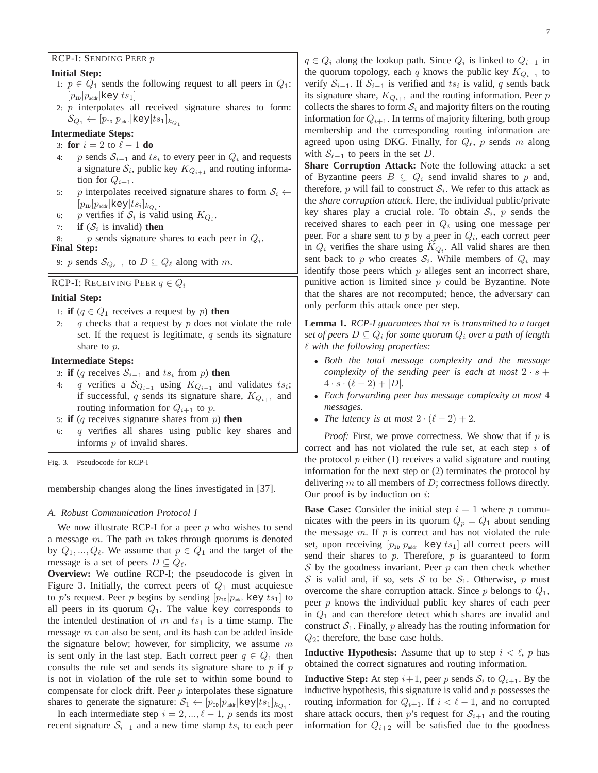## RCP-I: SENDING PEER p

## **Initial Step:**

- 1:  $p \in Q_1$  sends the following request to all peers in  $Q_1$ :  $[p_{\text{ID}}|p_{\text{addr}}|$ key $|ts_1]$
- 2: p interpolates all received signature shares to form:  $\mathcal{S}_{Q_1} \leftarrow [p_{\text{in}}|p_{\text{addr}}|\text{key}|ts_1]_{k_{Q_1}}$

# **Intermediate Steps:**

- 3: **for**  $i = 2$  to  $\ell 1$  **do**
- 4: p sends  $S_{i-1}$  and  $ts_i$  to every peer in  $Q_i$  and requests a signature  $S_i$ , public key  $K_{Q_{i+1}}$  and routing information for  $Q_{i+1}$ .
- 5: p interpolates received signature shares to form  $S_i \leftarrow$  $[p_{\text{\tiny{ID}}}|p_{\text{\tiny{addr}}|\text{key}|ts_i]_{k_{Q_i}}.$
- 6: p verifies if  $S_i$  is valid using  $K_{Q_i}$ .
- 7: **if**  $(S_i$  is invalid) **then**

8: *p* sends signature shares to each peer in  $Q_i$ . **Final Step:**

9: p sends  $\mathcal{S}_{Q_{\ell-1}}$  to  $D \subseteq Q_{\ell}$  along with m.

## RCP-I: RECEIVING PEER  $q \in Q_i$

#### **Initial Step:**

- 1: **if**  $(q \in Q_1$  receives a request by p) **then**
- 2: q checks that a request by  $p$  does not violate the rule set. If the request is legitimate,  $q$  sends its signature share to p.

## **Intermediate Steps:**

- 3: **if** (q receives  $S_{i-1}$  and  $ts_i$  from p) **then**
- 4: q verifies a  $\mathcal{S}_{Q_{i-1}}$  using  $K_{Q_{i-1}}$  and validates  $ts_i$ ; if successful, q sends its signature share,  $K_{Q_{i+1}}$  and routing information for  $Q_{i+1}$  to p.
- 5: **if** (q receives signature shares from p) **then**
- 6:  $q$  verifies all shares using public key shares and informs p of invalid shares.

Fig. 3. Pseudocode for RCP-I

membership changes along the lines investigated in [37].

#### *A. Robust Communication Protocol I*

We now illustrate RCP-I for a peer  $p$  who wishes to send a message  $m$ . The path  $m$  takes through quorums is denoted by  $Q_1, ..., Q_\ell$ . We assume that  $p \in Q_1$  and the target of the message is a set of peers  $D \subseteq Q_{\ell}$ .

**Overview:** We outline RCP-I; the pseudocode is given in Figure 3. Initially, the correct peers of  $Q_1$  must acquiesce to p's request. Peer p begins by sending  $[p_{\text{ID}}|p_{\text{adv}}|$  key $|ts_1|$  to all peers in its quorum  $Q_1$ . The value key corresponds to the intended destination of m and  $ts_1$  is a time stamp. The message m can also be sent, and its hash can be added inside the signature below; however, for simplicity, we assume  $m$ is sent only in the last step. Each correct peer  $q \in Q_1$  then consults the rule set and sends its signature share to  $p$  if  $p$ is not in violation of the rule set to within some bound to compensate for clock drift. Peer  $p$  interpolates these signature shares to generate the signature:  $S_1 \leftarrow [p_{1D} | p_{\text{addr}} | \text{key}| t s_1]_{k_{Q_1}}$ .

In each intermediate step  $i = 2, ..., \ell - 1$ , p sends its most recent signature  $S_{i-1}$  and a new time stamp  $ts_i$  to each peer

 $q \in Q_i$  along the lookup path. Since  $Q_i$  is linked to  $Q_{i-1}$  in the quorum topology, each q knows the public key  $K_{Q_{i-1}}$  to verify  $S_{i-1}$ . If  $S_{i-1}$  is verified and  $ts_i$  is valid, q sends back its signature share,  $K_{Q_{i+1}}$  and the routing information. Peer p collects the shares to form  $S_i$  and majority filters on the routing information for  $Q_{i+1}$ . In terms of majority filtering, both group membership and the corresponding routing information are agreed upon using DKG. Finally, for  $Q_{\ell}$ , p sends m along with  $S_{\ell-1}$  to peers in the set D.

**Share Corruption Attack:** Note the following attack: a set of Byzantine peers  $B \subseteq Q_i$  send invalid shares to p and, therefore, p will fail to construct  $S_i$ . We refer to this attack as the *share corruption attack*. Here, the individual public/private key shares play a crucial role. To obtain  $S_i$ , p sends the received shares to each peer in  $Q_i$  using one message per peer. For a share sent to  $p$  by a peer in  $Q_i$ , each correct peer in  $Q_i$  verifies the share using  $K_{Q_i}$ . All valid shares are then sent back to p who creates  $S_i$ . While members of  $Q_i$  may identify those peers which  $p$  alleges sent an incorrect share, punitive action is limited since  $p$  could be Byzantine. Note that the shares are not recomputed; hence, the adversary can only perform this attack once per step.

**Lemma 1.** *RCP-I guarantees that* m *is transmitted to a target set of peers* D ⊆ Q<sup>i</sup> *for some quorum* Q<sup>i</sup> *over a path of length* ℓ *with the following properties:*

- *Both the total message complexity and the message complexity of the sending peer is each at most*  $2 \cdot s$  +  $4 \cdot s \cdot (\ell - 2) + |D|$ .
- *Each forwarding peer has message complexity at most* 4 *messages.*
- *The latency is at most*  $2 \cdot (\ell 2) + 2$ .

*Proof:* First, we prove correctness. We show that if  $p$  is correct and has not violated the rule set, at each step i of the protocol  $p$  either (1) receives a valid signature and routing information for the next step or (2) terminates the protocol by delivering  $m$  to all members of  $D$ ; correctness follows directly. Our proof is by induction on  $i$ :

**Base Case:** Consider the initial step  $i = 1$  where p communicates with the peers in its quorum  $Q_p = Q_1$  about sending the message  $m$ . If  $p$  is correct and has not violated the rule set, upon receiving  $[p_{\text{in}}]p_{\text{addr}}$  |key|ts<sub>1</sub>] all correct peers will send their shares to  $p$ . Therefore,  $p$  is guaranteed to form  $S$  by the goodness invariant. Peer  $p$  can then check whether S is valid and, if so, sets S to be  $S_1$ . Otherwise, p must overcome the share corruption attack. Since  $p$  belongs to  $Q_1$ , peer  $p$  knows the individual public key shares of each peer in  $Q_1$  and can therefore detect which shares are invalid and construct  $S_1$ . Finally, p already has the routing information for  $Q_2$ ; therefore, the base case holds.

**Inductive Hypothesis:** Assume that up to step  $i < \ell$ , p has obtained the correct signatures and routing information.

**Inductive Step:** At step  $i+1$ , peer p sends  $S_i$  to  $Q_{i+1}$ . By the inductive hypothesis, this signature is valid and  $p$  possesses the routing information for  $Q_{i+1}$ . If  $i < \ell - 1$ , and no corrupted share attack occurs, then p's request for  $S_{i+1}$  and the routing information for  $Q_{i+2}$  will be satisfied due to the goodness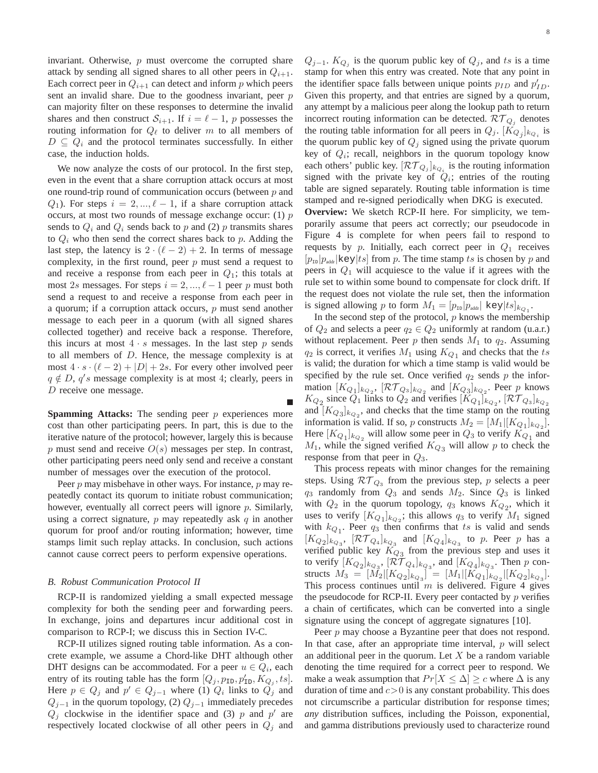invariant. Otherwise,  $p$  must overcome the corrupted share attack by sending all signed shares to all other peers in  $Q_{i+1}$ . Each correct peer in  $Q_{i+1}$  can detect and inform p which peers sent an invalid share. Due to the goodness invariant, peer  $p$ can majority filter on these responses to determine the invalid shares and then construct  $S_{i+1}$ . If  $i = \ell - 1$ , p possesses the routing information for  $Q_{\ell}$  to deliver m to all members of  $D \subseteq Q_i$  and the protocol terminates successfully. In either case, the induction holds.

We now analyze the costs of our protocol. In the first step, even in the event that a share corruption attack occurs at most one round-trip round of communication occurs (between  $p$  and  $Q_1$ ). For steps  $i = 2, ..., \ell - 1$ , if a share corruption attack occurs, at most two rounds of message exchange occur:  $(1)$   $p$ sends to  $Q_i$  and  $Q_i$  sends back to p and (2) p transmits shares to  $Q_i$  who then send the correct shares back to p. Adding the last step, the latency is  $2 \cdot (\ell - 2) + 2$ . In terms of message complexity, in the first round, peer  $p$  must send a request to and receive a response from each peer in  $Q_1$ ; this totals at most 2s messages. For steps  $i = 2, ..., \ell - 1$  peer p must both send a request to and receive a response from each peer in a quorum; if a corruption attack occurs, p must send another message to each peer in a quorum (with all signed shares collected together) and receive back a response. Therefore, this incurs at most  $4 \cdot s$  messages. In the last step p sends to all members of D. Hence, the message complexity is at most  $4 \cdot s \cdot (\ell - 2) + |D| + 2s$ . For every other involved peer  $q \notin D$ ,  $q's$  message complexity is at most 4; clearly, peers in D receive one message.

**Spamming Attacks:** The sending peer p experiences more cost than other participating peers. In part, this is due to the iterative nature of the protocol; however, largely this is because p must send and receive  $O(s)$  messages per step. In contrast, other participating peers need only send and receive a constant number of messages over the execution of the protocol.

Peer  $p$  may misbehave in other ways. For instance,  $p$  may repeatedly contact its quorum to initiate robust communication; however, eventually all correct peers will ignore  $p$ . Similarly, using a correct signature,  $p$  may repeatedly ask  $q$  in another quorum for proof and/or routing information; however, time stamps limit such replay attacks. In conclusion, such actions cannot cause correct peers to perform expensive operations.

#### *B. Robust Communication Protocol II*

RCP-II is randomized yielding a small expected message complexity for both the sending peer and forwarding peers. In exchange, joins and departures incur additional cost in comparison to RCP-I; we discuss this in Section IV-C.

RCP-II utilizes signed routing table information. As a concrete example, we assume a Chord-like DHT although other DHT designs can be accommodated. For a peer  $u \in Q_i$ , each entry of its routing table has the form  $[Q_j, p_{\text{ID}}, p'_{\text{ID}}, K_{Q_j}, ts]$ . Here  $p \in Q_j$  and  $p' \in Q_{j-1}$  where (1)  $Q_i$  links to  $Q_j$  and  $Q_{j-1}$  in the quorum topology, (2)  $Q_{j-1}$  immediately precedes  $Q_j$  clockwise in the identifier space and (3) p and p' are respectively located clockwise of all other peers in  $Q_i$  and

 $Q_{j-1}$ .  $K_{Q_j}$  is the quorum public key of  $Q_j$ , and ts is a time stamp for when this entry was created. Note that any point in the identifier space falls between unique points  $p_{ID}$  and  $p'_{ID}$ . Given this property, and that entries are signed by a quorum, any attempt by a malicious peer along the lookup path to return incorrect routing information can be detected.  $\mathcal{RT}_{Q_j}$  denotes the routing table information for all peers in  $Q_j$ .  $[K_{Q_j}]_{k_{Q_i}}$  is the quorum public key of  $Q_i$  signed using the private quorum key of  $Q_i$ ; recall, neighbors in the quorum topology know each others' public key.  $[\mathcal{RT}_{Q_j}]_{k_{Q_i}}$  is the routing information signed with the private key of  $Q_i$ ; entries of the routing table are signed separately. Routing table information is time stamped and re-signed periodically when DKG is executed.

**Overview:** We sketch RCP-II here. For simplicity, we temporarily assume that peers act correctly; our pseudocode in Figure 4 is complete for when peers fail to respond to requests by p. Initially, each correct peer in  $Q_1$  receives  $[p_{\text{in}}|p_{\text{addr}}|$ key $|ts|$  from p. The time stamp ts is chosen by p and peers in  $Q_1$  will acquiesce to the value if it agrees with the rule set to within some bound to compensate for clock drift. If the request does not violate the rule set, then the information is signed allowing p to form  $M_1 = [p_{1D} | p_{\text{addr}} | \text{key}| t s]_{k_{Q_1}}$ .

In the second step of the protocol,  $p$  knows the membership of  $Q_2$  and selects a peer  $q_2 \in Q_2$  uniformly at random (u.a.r.) without replacement. Peer  $p$  then sends  $M_1$  to  $q_2$ . Assuming  $q_2$  is correct, it verifies  $M_1$  using  $K_{Q_1}$  and checks that the ts is valid; the duration for which a time stamp is valid would be specified by the rule set. Once verified  $q_2$  sends p the information  $[K_{Q_1}]_{k_{Q_2}}$ ,  $[\mathcal{RT}_{Q_3}]_{k_{Q_2}}$  and  $[K_{Q_3}]_{k_{Q_2}}$ . Peer p knows  $K_{Q_2}$  since  $Q_1$  links to  $Q_2$  and verifies  $[K_{Q_1}]_{k_{Q_2}}$ ,  $[\mathcal{RT}_{Q_3}]_{k_{Q_2}}$ and  $[K_{Q_3}]_{k_{Q_2}}$ , and checks that the time stamp on the routing information is valid. If so, p constructs  $M_2 = [M_1 | [K_{Q_1}]_{k_{Q_2}}]$ . Here  $[K_{Q_1}]_{k_{Q_2}}$  will allow some peer in  $Q_3$  to verify  $K_{Q_1}$  and  $M_1$ , while the signed verified  $K_{Q_3}$  will allow p to check the response from that peer in  $Q_3$ .

This process repeats with minor changes for the remaining steps. Using  $\mathcal{RT}_{Q_3}$  from the previous step, p selects a peer  $q_3$  randomly from  $Q_3$  and sends  $M_2$ . Since  $Q_3$  is linked with  $Q_2$  in the quorum topology,  $q_3$  knows  $K_{Q_2}$ , which it uses to verify  $[K_{Q_1}]_{k_{Q_2}}$ ; this allows  $q_3$  to verify  $M_1$  signed with  $k_{Q_1}$ . Peer  $q_3$  then confirms that ts is valid and sends  $[K_{Q_2}]_{k_{Q_3}}$ ,  $[\mathcal{RT}_{Q_4}]_{k_{Q_3}}$  and  $[K_{Q_4}]_{k_{Q_3}}$  to p. Peer p has a verified public key  $K_{Q_3}$  from the previous step and uses it to verify  $[K_{Q_2}]_{k_{Q_3}}$ ,  $[\mathcal{RT}_{Q_4}]_{k_{Q_3}}$ , and  $[K_{Q_4}]_{k_{Q_3}}$ . Then p constructs  $M_3 = [M_2 | [K_{Q_2}]_{k_{Q_3}}] = [M_1 | [K_{Q_1}]_{k_{Q_2}} | [K_{Q_2}]_{k_{Q_3}}].$ This process continues until  $m$  is delivered. Figure 4 gives the pseudocode for RCP-II. Every peer contacted by  $p$  verifies a chain of certificates, which can be converted into a single signature using the concept of aggregate signatures [10].

Peer *p* may choose a Byzantine peer that does not respond. In that case, after an appropriate time interval,  $p$  will select an additional peer in the quorum. Let  $X$  be a random variable denoting the time required for a correct peer to respond. We make a weak assumption that  $Pr[X \leq \Delta] \geq c$  where  $\Delta$  is any duration of time and  $c>0$  is any constant probability. This does not circumscribe a particular distribution for response times; *any* distribution suffices, including the Poisson, exponential, and gamma distributions previously used to characterize round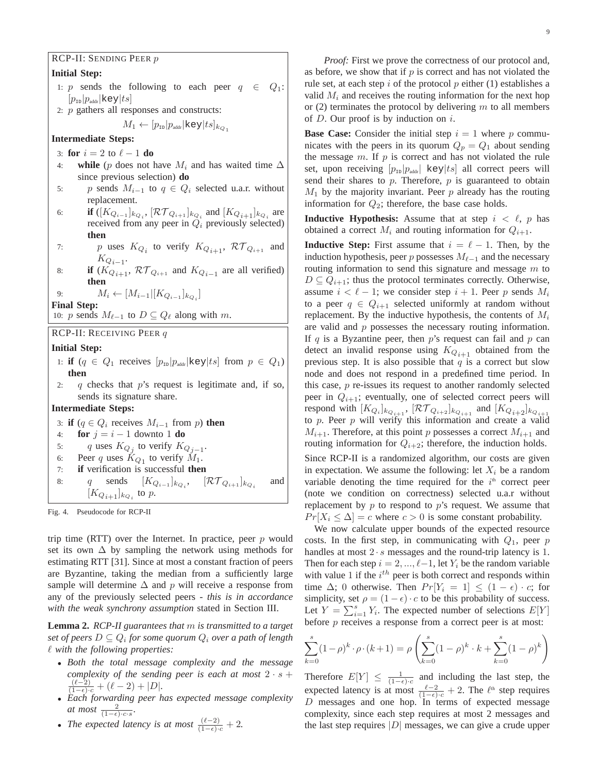## RCP-II: SENDING PEER p

## **Initial Step:**

- 1: p sends the following to each peer  $q \in Q_1$ :  $|p_{\text{\tiny{ID}}}|p_{\text{\tiny{addr}}|$ key $|ts|$
- 2: p gathers all responses and constructs:

$$
M_1 \leftarrow [p_{\scriptscriptstyle \text{ID}} | p_{\scriptscriptstyle \text{addr}} | \texttt{key} | ts]_{k_{Q_1}}
$$

## **Intermediate Steps:**

- 3: **for**  $i = 2$  to  $\ell 1$  **do**
- 4: **while** (p does not have  $M_i$  and has waited time  $\Delta$ since previous selection) **do**
- 5: p sends  $M_{i-1}$  to  $q \in Q_i$  selected u.a.r. without replacement.
- 6: **if**  $([K_{Q_{i-1}}]_{k_{Q_i}}, [\mathcal{RT}_{Q_{i+1}}]_{k_{Q_i}}$  and  $[K_{Q_{i+1}}]_{k_{Q_i}}$  are received from any peer in  $Q_i$  previously selected) **then**
- 7: p uses  $K_{Q_i}$  to verify  $K_{Q_{i+1}}$ ,  $\mathcal{RT}_{Q_{i+1}}$  and  $K_{Q_{i-1}}$ .
- 8: **if**  $(K_{Q_{i+1}}, \mathcal{RT}_{Q_{i+1}})$  and  $K_{Q_{i-1}}$  are all verified) **then**

9:  $M_i \leftarrow [M_{i-1} | [K_{Q_{i-1}}]_{k_{Q_i}}]$ 

**Final Step:**

10: p sends  $M_{\ell-1}$  to  $D \subseteq Q_{\ell}$  along with m.

RCP-II: RECEIVING PEER q

## **Initial Step:**

- 1: **if**  $(q \in Q_1$  receives  $[p_{\text{in}}]p_{\text{addr}}|\text{key}|ts]$  from  $p \in Q_1$ ) **then**
- 2: q checks that  $p$ 's request is legitimate and, if so, sends its signature share.

## **Intermediate Steps:**

- 3: **if**  $(q \in Q_i$  receives  $M_{i-1}$  from p) **then**
- 4: **for**  $j = i 1$  downto 1 **do**
- 5: q uses  $K_{Q_j}$  to verify  $K_{Q_{j-1}}$ .
- 6: Peer q uses  $K_{Q_1}$  to verify  $M_1$ .
- 7: **if** verification is successful **then** 8: q sends  $[K_{Q_{i-1}}]_{k_{Q_i}}$ ,  $[\mathcal{RT}_{Q_{i+1}}]_{k_{Q_i}}$ and  $[K_{Q_{i+1}}]_{k_{Q_i}}$  to  $p$ .

Fig. 4. Pseudocode for RCP-II

trip time (RTT) over the Internet. In practice, peer  $p$  would set its own  $\Delta$  by sampling the network using methods for estimating RTT [31]. Since at most a constant fraction of peers are Byzantine, taking the median from a sufficiently large sample will determine  $\Delta$  and p will receive a response from any of the previously selected peers - *this is in accordance with the weak synchrony assumption* stated in Section III.

**Lemma 2.** *RCP-II guarantees that* m *is transmitted to a target set of peers* D ⊆ Q<sup>i</sup> *for some quorum* Q<sup>i</sup> *over a path of length* ℓ *with the following properties:*

- *Both the total message complexity and the message complexity of the sending peer is each at most*  $2 \cdot s$  +  $\frac{(\ell-2)}{(1-\epsilon)\cdot c} + (\ell-2) + |D|.$
- *Each forwarding peer has expected message complexity at most*  $\frac{2}{(1-\epsilon)\cdot c\cdot s}$ *.*
- *The expected latency is at most*  $\frac{(\ell-2)}{(1-\epsilon)\cdot c} + 2$ .

*Proof:* First we prove the correctness of our protocol and, as before, we show that if  $p$  is correct and has not violated the rule set, at each step  $i$  of the protocol  $p$  either (1) establishes a valid  $M_i$  and receives the routing information for the next hop or (2) terminates the protocol by delivering  $m$  to all members of  $D$ . Our proof is by induction on  $i$ .

**Base Case:** Consider the initial step  $i = 1$  where p communicates with the peers in its quorum  $Q_p = Q_1$  about sending the message  $m$ . If  $p$  is correct and has not violated the rule set, upon receiving  $[p_{ID}|p_{addr}]$  key|ts| all correct peers will send their shares to  $p$ . Therefore,  $p$  is guaranteed to obtain  $M_1$  by the majority invariant. Peer p already has the routing information for  $Q_2$ ; therefore, the base case holds.

**Inductive Hypothesis:** Assume that at step  $i < \ell$ , p has obtained a correct  $M_i$  and routing information for  $Q_{i+1}$ .

**Inductive Step:** First assume that  $i = \ell - 1$ . Then, by the induction hypothesis, peer p possesses  $M_{\ell-1}$  and the necessary routing information to send this signature and message  $m$  to  $D \subseteq Q_{i+1}$ ; thus the protocol terminates correctly. Otherwise, assume  $i < \ell - 1$ ; we consider step  $i + 1$ . Peer p sends  $M_i$ to a peer  $q \in Q_{i+1}$  selected uniformly at random without replacement. By the inductive hypothesis, the contents of  $M_i$ are valid and  $p$  possesses the necessary routing information. If q is a Byzantine peer, then  $p$ 's request can fail and  $p$  can detect an invalid response using  $K_{Q_{i+1}}$  obtained from the previous step. It is also possible that  $q$  is a correct but slow node and does not respond in a predefined time period. In this case,  $p$  re-issues its request to another randomly selected peer in  $Q_{i+1}$ ; eventually, one of selected correct peers will respond with  $[K_{Q_i}]_{k_{Q_{i+1}}}, [\mathcal{RT}_{Q_{i+2}}]_{k_{Q_{i+1}}}$  and  $[K_{Q_{i+2}}]_{k_{Q_{i+1}}}$ to  $p$ . Peer  $p$  will verify this information and create a valid  $M_{i+1}$ . Therefore, at this point p possesses a correct  $M_{i+1}$  and routing information for  $Q_{i+2}$ ; therefore, the induction holds.

Since RCP-II is a randomized algorithm, our costs are given in expectation. We assume the following: let  $X_i$  be a random variable denoting the time required for the  $i<sup>th</sup>$  correct peer (note we condition on correctness) selected u.a.r without replacement by  $p$  to respond to  $p$ 's request. We assume that  $Pr[X_i \leq \Delta] = c$  where  $c > 0$  is some constant probability.

We now calculate upper bounds of the expected resource costs. In the first step, in communicating with  $Q_1$ , peer p handles at most  $2 \cdot s$  messages and the round-trip latency is 1. Then for each step  $i = 2, ..., \ell-1$ , let  $Y_i$  be the random variable with value 1 if the  $i^{th}$  peer is both correct and responds within time  $\Delta$ ; 0 otherwise. Then  $Pr[Y_i = 1] \leq (1 - \epsilon) \cdot c$ ; for simplicity, set  $\rho = (1 - \epsilon) \cdot c$  to be this probability of success. Let  $Y = \sum_{i=1}^{s} Y_i$ . The expected number of selections  $E[Y]$ before  $p$  receives a response from a correct peer is at most:

$$
\sum_{k=0}^{s} (1-\rho)^k \cdot \rho \cdot (k+1) = \rho \left( \sum_{k=0}^{s} (1-\rho)^k \cdot k + \sum_{k=0}^{s} (1-\rho)^k \right)
$$

Therefore  $E[Y] \leq \frac{1}{(1-\epsilon)\cdot c}$  and including the last step, the expected latency is at most  $\frac{\ell-2}{(1-\epsilon)\cdot c}$  + 2. The  $\ell^{\text{th}}$  step requires D messages and one hop. In terms of expected message complexity, since each step requires at most 2 messages and the last step requires  $|D|$  messages, we can give a crude upper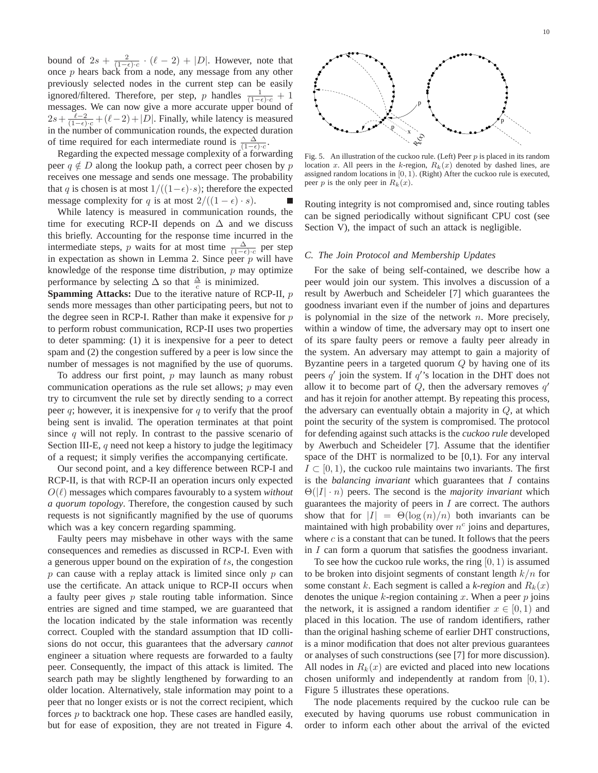bound of  $2s + \frac{2}{(1-\epsilon)\cdot c} \cdot (\ell-2) + |D|$ . However, note that once p hears back from a node, any message from any other previously selected nodes in the current step can be easily ignored/filtered. Therefore, per step, p handles  $\frac{1}{(1-\epsilon)\cdot c} + 1$ messages. We can now give a more accurate upper bound of  $2s + \frac{\ell-2}{(1-\epsilon)\cdot c} + (\ell-2) + |D|$ . Finally, while latency is measured in the number of communication rounds, the expected duration of time required for each intermediate round is  $\frac{\Delta}{(1-\epsilon)\cdot c}$ .

Regarding the expected message complexity of a forwarding peer  $q \notin D$  along the lookup path, a correct peer chosen by p receives one message and sends one message. The probability that q is chosen is at most  $1/((1-\epsilon)\cdot s)$ ; therefore the expected message complexity for q is at most  $2/((1 - \epsilon) \cdot s)$ .

While latency is measured in communication rounds, the time for executing RCP-II depends on  $\Delta$  and we discuss this briefly. Accounting for the response time incurred in the intermediate steps, p waits for at most time  $\frac{\Delta}{(1-\epsilon)\cdot c}$  per step in expectation as shown in Lemma 2. Since peer  $p$  will have knowledge of the response time distribution,  $p$  may optimize performance by selecting  $\Delta$  so that  $\frac{\Delta}{c}$  is minimized.

**Spamming Attacks:** Due to the iterative nature of RCP-II, p sends more messages than other participating peers, but not to the degree seen in RCP-I. Rather than make it expensive for  $p$ to perform robust communication, RCP-II uses two properties to deter spamming: (1) it is inexpensive for a peer to detect spam and (2) the congestion suffered by a peer is low since the number of messages is not magnified by the use of quorums.

To address our first point,  $p$  may launch as many robust communication operations as the rule set allows;  $p$  may even try to circumvent the rule set by directly sending to a correct peer  $q$ ; however, it is inexpensive for  $q$  to verify that the proof being sent is invalid. The operation terminates at that point since  $q$  will not reply. In contrast to the passive scenario of Section III-E,  $q$  need not keep a history to judge the legitimacy of a request; it simply verifies the accompanying certificate.

Our second point, and a key difference between RCP-I and RCP-II, is that with RCP-II an operation incurs only expected  $O(\ell)$  messages which compares favourably to a system *without a quorum topology*. Therefore, the congestion caused by such requests is not significantly magnified by the use of quorums which was a key concern regarding spamming.

Faulty peers may misbehave in other ways with the same consequences and remedies as discussed in RCP-I. Even with a generous upper bound on the expiration of  $ts$ , the congestion  $p$  can cause with a replay attack is limited since only  $p$  can use the certificate. An attack unique to RCP-II occurs when a faulty peer gives  $p$  stale routing table information. Since entries are signed and time stamped, we are guaranteed that the location indicated by the stale information was recently correct. Coupled with the standard assumption that ID collisions do not occur, this guarantees that the adversary *cannot* engineer a situation where requests are forwarded to a faulty peer. Consequently, the impact of this attack is limited. The search path may be slightly lengthened by forwarding to an older location. Alternatively, stale information may point to a peer that no longer exists or is not the correct recipient, which forces  $p$  to backtrack one hop. These cases are handled easily, but for ease of exposition, they are not treated in Figure 4.



Fig. 5. An illustration of the cuckoo rule. (Left) Peer  $p$  is placed in its random location x. All peers in the k-region,  $R_k(x)$  denoted by dashed lines, are assigned random locations in [0, 1). (Right) After the cuckoo rule is executed, peer p is the only peer in  $R_k(x)$ .

Routing integrity is not compromised and, since routing tables can be signed periodically without significant CPU cost (see Section V), the impact of such an attack is negligible.

#### *C. The Join Protocol and Membership Updates*

For the sake of being self-contained, we describe how a peer would join our system. This involves a discussion of a result by Awerbuch and Scheideler [7] which guarantees the goodness invariant even if the number of joins and departures is polynomial in the size of the network  $n$ . More precisely, within a window of time, the adversary may opt to insert one of its spare faulty peers or remove a faulty peer already in the system. An adversary may attempt to gain a majority of Byzantine peers in a targeted quorum  $Q$  by having one of its peers  $q'$  join the system. If  $q'$ 's location in the DHT does not allow it to become part of  $\tilde{Q}$ , then the adversary removes  $q'$ and has it rejoin for another attempt. By repeating this process, the adversary can eventually obtain a majority in Q, at which point the security of the system is compromised. The protocol for defending against such attacks is the *cuckoo rule* developed by Awerbuch and Scheideler [7]. Assume that the identifier space of the DHT is normalized to be [0,1). For any interval  $I \subset [0, 1)$ , the cuckoo rule maintains two invariants. The first is the *balancing invariant* which guarantees that I contains Θ(|I| · n) peers. The second is the *majority invariant* which guarantees the majority of peers in  $I$  are correct. The authors show that for  $|I| = \Theta(\log(n)/n)$  both invariants can be maintained with high probability over  $n^c$  joins and departures, where  $c$  is a constant that can be tuned. It follows that the peers in I can form a quorum that satisfies the goodness invariant.

To see how the cuckoo rule works, the ring  $[0, 1)$  is assumed to be broken into disjoint segments of constant length  $k/n$  for some constant k. Each segment is called a *k-region* and  $R_k(x)$ denotes the unique k-region containing x. When a peer  $p$  joins the network, it is assigned a random identifier  $x \in [0, 1)$  and placed in this location. The use of random identifiers, rather than the original hashing scheme of earlier DHT constructions, is a minor modification that does not alter previous guarantees or analyses of such constructions (see [7] for more discussion). All nodes in  $R_k(x)$  are evicted and placed into new locations chosen uniformly and independently at random from  $[0, 1)$ . Figure 5 illustrates these operations.

The node placements required by the cuckoo rule can be executed by having quorums use robust communication in order to inform each other about the arrival of the evicted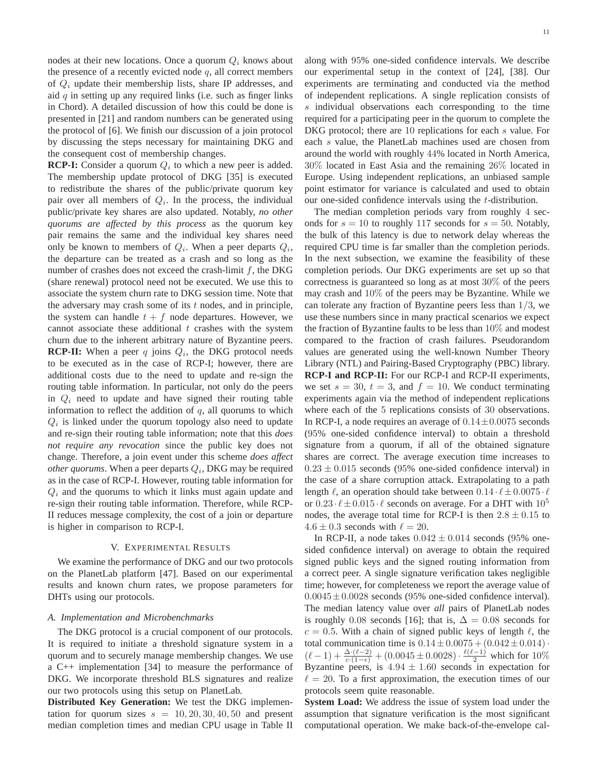nodes at their new locations. Once a quorum  $Q_i$  knows about the presence of a recently evicted node  $q$ , all correct members of  $Q_i$  update their membership lists, share IP addresses, and aid  $q$  in setting up any required links (i.e. such as finger links in Chord). A detailed discussion of how this could be done is presented in [21] and random numbers can be generated using the protocol of [6]. We finish our discussion of a join protocol by discussing the steps necessary for maintaining DKG and the consequent cost of membership changes.

**RCP-I:** Consider a quorum  $Q_i$  to which a new peer is added. The membership update protocol of DKG [35] is executed to redistribute the shares of the public/private quorum key pair over all members of  $Q_i$ . In the process, the individual public/private key shares are also updated. Notably, *no other quorums are affected by this process* as the quorum key pair remains the same and the individual key shares need only be known to members of  $Q_i$ . When a peer departs  $Q_i$ , the departure can be treated as a crash and so long as the number of crashes does not exceed the crash-limit  $f$ , the DKG (share renewal) protocol need not be executed. We use this to associate the system churn rate to DKG session time. Note that the adversary may crash some of its  $t$  nodes, and in principle, the system can handle  $t + f$  node departures. However, we cannot associate these additional  $t$  crashes with the system churn due to the inherent arbitrary nature of Byzantine peers. **RCP-II:** When a peer  $q$  joins  $Q_i$ , the DKG protocol needs to be executed as in the case of RCP-I; however, there are additional costs due to the need to update and re-sign the routing table information. In particular, not only do the peers in  $Q_i$  need to update and have signed their routing table information to reflect the addition of  $q$ , all quorums to which  $Q_i$  is linked under the quorum topology also need to update and re-sign their routing table information; note that this *does not require any revocation* since the public key does not change. Therefore, a join event under this scheme *does affect other quorums*. When a peer departs  $Q_i$ , DKG may be required as in the case of RCP-I. However, routing table information for  $Q_i$  and the quorums to which it links must again update and re-sign their routing table information. Therefore, while RCP-II reduces message complexity, the cost of a join or departure is higher in comparison to RCP-I.

## V. EXPERIMENTAL RESULTS

We examine the performance of DKG and our two protocols on the PlanetLab platform [47]. Based on our experimental results and known churn rates, we propose parameters for DHTs using our protocols.

#### *A. Implementation and Microbenchmarks*

The DKG protocol is a crucial component of our protocols. It is required to initiate a threshold signature system in a quorum and to securely manage membership changes. We use a C++ implementation [34] to measure the performance of DKG. We incorporate threshold BLS signatures and realize our two protocols using this setup on PlanetLab.

**Distributed Key Generation:** We test the DKG implementation for quorum sizes  $s = 10, 20, 30, 40, 50$  and present median completion times and median CPU usage in Table II along with 95% one-sided confidence intervals. We describe our experimental setup in the context of [24], [38]. Our experiments are terminating and conducted via the method of independent replications. A single replication consists of s individual observations each corresponding to the time required for a participating peer in the quorum to complete the DKG protocol; there are 10 replications for each s value. For each s value, the PlanetLab machines used are chosen from around the world with roughly 44% located in North America, 30% located in East Asia and the remaining 26% located in Europe. Using independent replications, an unbiased sample point estimator for variance is calculated and used to obtain our one-sided confidence intervals using the t-distribution.

The median completion periods vary from roughly 4 seconds for  $s = 10$  to roughly 117 seconds for  $s = 50$ . Notably, the bulk of this latency is due to network delay whereas the required CPU time is far smaller than the completion periods. In the next subsection, we examine the feasibility of these completion periods. Our DKG experiments are set up so that correctness is guaranteed so long as at most 30% of the peers may crash and 10% of the peers may be Byzantine. While we can tolerate any fraction of Byzantine peers less than  $1/3$ , we use these numbers since in many practical scenarios we expect the fraction of Byzantine faults to be less than 10% and modest compared to the fraction of crash failures. Pseudorandom values are generated using the well-known Number Theory Library (NTL) and Pairing-Based Cryptography (PBC) library. **RCP-I and RCP-II:** For our RCP-I and RCP-II experiments, we set  $s = 30$ ,  $t = 3$ , and  $f = 10$ . We conduct terminating experiments again via the method of independent replications where each of the 5 replications consists of 30 observations. In RCP-I, a node requires an average of  $0.14 \pm 0.0075$  seconds (95% one-sided confidence interval) to obtain a threshold signature from a quorum, if all of the obtained signature shares are correct. The average execution time increases to  $0.23 \pm 0.015$  seconds (95% one-sided confidence interval) in the case of a share corruption attack. Extrapolating to a path length  $\ell$ , an operation should take between  $0.14 \cdot \ell \pm 0.0075 \cdot \ell$ or  $0.23 \cdot \ell \pm 0.015 \cdot \ell$  seconds on average. For a DHT with  $10^5$ nodes, the average total time for RCP-I is then  $2.8 \pm 0.15$  to  $4.6 \pm 0.3$  seconds with  $\ell = 20$ .

In RCP-II, a node takes  $0.042 \pm 0.014$  seconds (95% onesided confidence interval) on average to obtain the required signed public keys and the signed routing information from a correct peer. A single signature verification takes negligible time; however, for completeness we report the average value of  $0.0045 \pm 0.0028$  seconds (95% one-sided confidence interval). The median latency value over *all* pairs of PlanetLab nodes is roughly 0.08 seconds [16]; that is,  $\Delta = 0.08$  seconds for  $c = 0.5$ . With a chain of signed public keys of length  $\ell$ , the total communication time is  $0.14 \pm 0.0075 + (0.042 \pm 0.014)$ .  $(\ell-1) + \frac{\Delta \cdot (\ell-2)}{c \cdot (1-\epsilon)} + (0.0045 \pm 0.0028) \cdot \frac{\ell(\ell-1)}{2}$  which for  $10\%$ Byzantine peers, is  $4.94 \pm 1.60$  seconds in expectation for  $\ell = 20$ . To a first approximation, the execution times of our protocols seem quite reasonable.

**System Load:** We address the issue of system load under the assumption that signature verification is the most significant computational operation. We make back-of-the-envelope cal-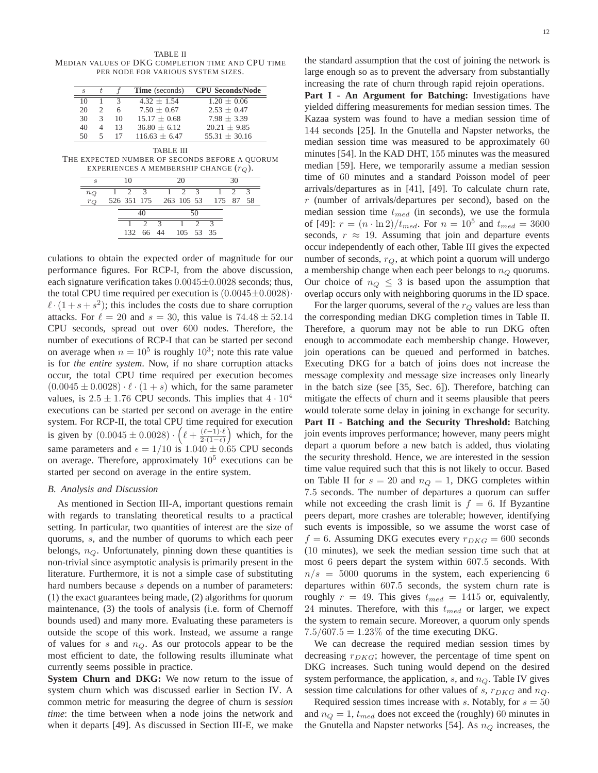TABLE II MEDIAN VALUES OF DKG COMPLETION TIME AND CPU TIME PER NODE FOR VARIOUS SYSTEM SIZES.

| $\mathcal{S}_{\mathcal{S}}$ |               |    | <b>Time</b> (seconds) | <b>CPU Seconds/Node</b> |
|-----------------------------|---------------|----|-----------------------|-------------------------|
| 10                          |               |    | $4.32 + 1.54$         | $1.20 + 0.06$           |
| 20                          | 2             | 6  | $7.50 + 0.67$         | $2.53 + 0.47$           |
| 30                          | $\mathcal{R}$ | 10 | $15.17 + 0.68$        | $7.98 + 3.39$           |
| 40                          |               | 13 | $36.80 + 6.12$        | $20.21 + 9.85$          |
| 50                          |               |    | $116.63 + 6.47$       | $55.31 + 30.16$         |

TABLE III THE EXPECTED NUMBER OF SECONDS BEFORE A QUORUM EXPERIENCES A MEMBERSHIP CHANGE  $(r_Q)$ .

| 10 |  |  |              | 20          |  |                     |                     |                                  |  |
|----|--|--|--------------|-------------|--|---------------------|---------------------|----------------------------------|--|
|    |  |  |              |             |  |                     |                     |                                  |  |
|    |  |  |              |             |  |                     |                     |                                  |  |
|    |  |  |              |             |  |                     |                     |                                  |  |
|    |  |  |              |             |  |                     |                     |                                  |  |
|    |  |  |              |             |  |                     |                     |                                  |  |
|    |  |  | $2 \sqrt{3}$ | $2^{\circ}$ |  | $1 \quad 2 \quad 3$ | 132 66 44 105 53 35 | 526 351 175 263 105 53 175 87 58 |  |

culations to obtain the expected order of magnitude for our performance figures. For RCP-I, from the above discussion, each signature verification takes  $0.0045 \pm 0.0028$  seconds; thus, the total CPU time required per execution is  $(0.0045 \pm 0.0028)$  $\ell \cdot (1 + s + s^2)$ ; this includes the costs due to share corruption attacks. For  $\ell = 20$  and  $s = 30$ , this value is  $74.48 \pm 52.14$ CPU seconds, spread out over 600 nodes. Therefore, the number of executions of RCP-I that can be started per second on average when  $n = 10^5$  is roughly  $10^3$ ; note this rate value is for *the entire system*. Now, if no share corruption attacks occur, the total CPU time required per execution becomes  $(0.0045 \pm 0.0028) \cdot \ell \cdot (1 + s)$  which, for the same parameter values, is  $2.5 \pm 1.76$  CPU seconds. This implies that  $4 \cdot 10^4$ executions can be started per second on average in the entire system. For RCP-II, the total CPU time required for execution is given by  $(0.0045 \pm 0.0028) \cdot (l + \frac{(l-1)\cdot l}{2 \cdot (1-\epsilon)})$  $2·(1-\epsilon)$  which, for the same parameters and  $\epsilon = 1/10$  is  $1.040 \pm 0.65$  CPU seconds on average. Therefore, approximately  $10^5$  executions can be started per second on average in the entire system.

#### *B. Analysis and Discussion*

As mentioned in Section III-A, important questions remain with regards to translating theoretical results to a practical setting. In particular, two quantities of interest are the size of quorums, s, and the number of quorums to which each peer belongs,  $n_Q$ . Unfortunately, pinning down these quantities is non-trivial since asymptotic analysis is primarily present in the literature. Furthermore, it is not a simple case of substituting hard numbers because s depends on a number of parameters: (1) the exact guarantees being made, (2) algorithms for quorum maintenance, (3) the tools of analysis (i.e. form of Chernoff bounds used) and many more. Evaluating these parameters is outside the scope of this work. Instead, we assume a range of values for  $s$  and  $n_Q$ . As our protocols appear to be the most efficient to date, the following results illuminate what currently seems possible in practice.

**System Churn and DKG:** We now return to the issue of system churn which was discussed earlier in Section IV. A common metric for measuring the degree of churn is *session time*: the time between when a node joins the network and when it departs [49]. As discussed in Section III-E, we make the standard assumption that the cost of joining the network is large enough so as to prevent the adversary from substantially increasing the rate of churn through rapid rejoin operations.

**Part I - An Argument for Batching:** Investigations have yielded differing measurements for median session times. The Kazaa system was found to have a median session time of 144 seconds [25]. In the Gnutella and Napster networks, the median session time was measured to be approximately 60 minutes [54]. In the KAD DHT, 155 minutes was the measured median [59]. Here, we temporarily assume a median session time of 60 minutes and a standard Poisson model of peer arrivals/departures as in [41], [49]. To calculate churn rate,  $r$  (number of arrivals/departures per second), based on the median session time  $t_{med}$  (in seconds), we use the formula of [49]:  $r = (n \cdot \ln 2)/t_{med}$ . For  $n = 10^5$  and  $t_{med} = 3600$ seconds,  $r \approx 19$ . Assuming that join and departure events occur independently of each other, Table III gives the expected number of seconds,  $r_Q$ , at which point a quorum will undergo a membership change when each peer belongs to  $n_Q$  quorums. Our choice of  $n_Q \leq 3$  is based upon the assumption that overlap occurs only with neighboring quorums in the ID space.

For the larger quorums, several of the  $r_Q$  values are less than the corresponding median DKG completion times in Table II. Therefore, a quorum may not be able to run DKG often enough to accommodate each membership change. However, join operations can be queued and performed in batches. Executing DKG for a batch of joins does not increase the message complexity and message size increases only linearly in the batch size (see [35, Sec. 6]). Therefore, batching can mitigate the effects of churn and it seems plausible that peers would tolerate some delay in joining in exchange for security. **Part II - Batching and the Security Threshold:** Batching join events improves performance; however, many peers might depart a quorum before a new batch is added, thus violating the security threshold. Hence, we are interested in the session time value required such that this is not likely to occur. Based on Table II for  $s = 20$  and  $n_Q = 1$ , DKG completes within 7.5 seconds. The number of departures a quorum can suffer while not exceeding the crash limit is  $f = 6$ . If Byzantine peers depart, more crashes are tolerable; however, identifying such events is impossible, so we assume the worst case of  $f = 6$ . Assuming DKG executes every  $r_{DKG} = 600$  seconds (10 minutes), we seek the median session time such that at most 6 peers depart the system within 607.5 seconds. With  $n/s = 5000$  quorums in the system, each experiencing 6 departures within 607.5 seconds, the system churn rate is roughly  $r = 49$ . This gives  $t_{med} = 1415$  or, equivalently, 24 minutes. Therefore, with this  $t_{med}$  or larger, we expect the system to remain secure. Moreover, a quorum only spends  $7.5/607.5 = 1.23\%$  of the time executing DKG.

We can decrease the required median session times by decreasing  $r_{DKG}$ ; however, the percentage of time spent on DKG increases. Such tuning would depend on the desired system performance, the application,  $s$ , and  $n_Q$ . Table IV gives session time calculations for other values of s,  $r_{DKG}$  and  $n_Q$ .

Required session times increase with s. Notably, for  $s = 50$ and  $n_Q = 1$ ,  $t_{med}$  does not exceed the (roughly) 60 minutes in the Gnutella and Napster networks [54]. As  $n_Q$  increases, the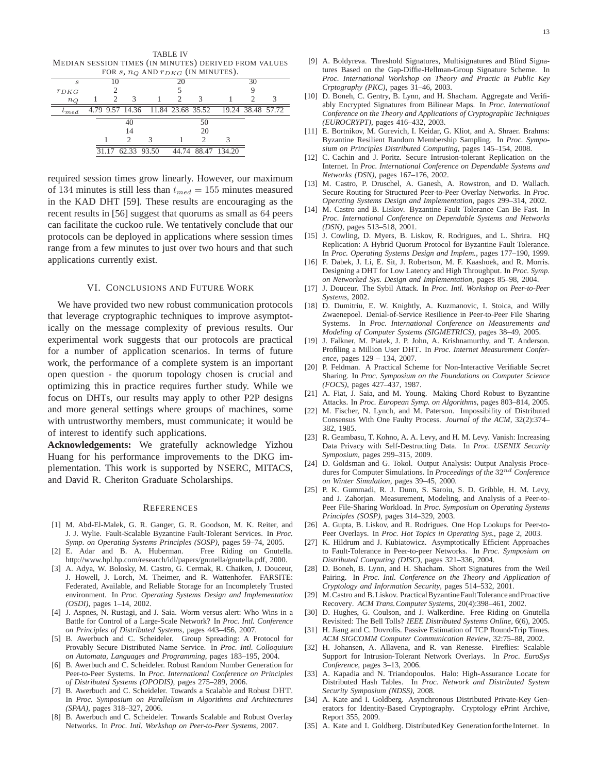TABLE IV MEDIAN SESSION TIMES (IN MINUTES) DERIVED FROM VALUES FOR  $s, nQ$  AND  $r_{DKG}$  (IN MINUTES).

| $1.98$ , $10Q$ , $1.19$ , $1.06$ , $1.1$ , $1.110$ , $1.19$ |    |  |               |                                                     |    |    |                    |    |  |  |
|-------------------------------------------------------------|----|--|---------------|-----------------------------------------------------|----|----|--------------------|----|--|--|
| S                                                           | 10 |  |               |                                                     | 20 |    |                    | 30 |  |  |
| $r_{DKG}$                                                   |    |  |               |                                                     |    |    |                    |    |  |  |
| $n_Q$                                                       |    |  |               |                                                     |    |    |                    |    |  |  |
| $\tau_{med}$                                                |    |  |               | 4.79 9.57 14.36 11.84 23.68 35.52 19.24 38.48 57.72 |    |    |                    |    |  |  |
|                                                             |    |  | 40            |                                                     |    | 50 |                    |    |  |  |
|                                                             |    |  | 14            |                                                     |    | 20 |                    |    |  |  |
|                                                             |    |  | $\mathcal{P}$ |                                                     |    |    |                    |    |  |  |
|                                                             |    |  |               | 31.17 62.33 93.50                                   |    |    | 44.74 88.47 134.20 |    |  |  |
|                                                             |    |  |               |                                                     |    |    |                    |    |  |  |

required session times grow linearly. However, our maximum of 134 minutes is still less than  $t_{med} = 155$  minutes measured in the KAD DHT [59]. These results are encouraging as the recent results in [56] suggest that quorums as small as 64 peers can facilitate the cuckoo rule. We tentatively conclude that our protocols can be deployed in applications where session times range from a few minutes to just over two hours and that such applications currently exist.

#### VI. CONCLUSIONS AND FUTURE WORK

We have provided two new robust communication protocols that leverage cryptographic techniques to improve asymptotically on the message complexity of previous results. Our experimental work suggests that our protocols are practical for a number of application scenarios. In terms of future work, the performance of a complete system is an important open question - the quorum topology chosen is crucial and optimizing this in practice requires further study. While we focus on DHTs, our results may apply to other P2P designs and more general settings where groups of machines, some with untrustworthy members, must communicate; it would be of interest to identify such applications.

**Acknowledgements:** We gratefully acknowledge Yizhou Huang for his performance improvements to the DKG implementation. This work is supported by NSERC, MITACS, and David R. Cheriton Graduate Scholarships.

#### **REFERENCES**

- [1] M. Abd-El-Malek, G. R. Ganger, G. R. Goodson, M. K. Reiter, and J. J. Wylie. Fault-Scalable Byzantine Fault-Tolerant Services. In *Proc. Symp. on Operating Systems Principles (SOSP)*, pages 59–74, 2005.
- [2] E. Adar and B. A. Huberman. Free Riding on Gnutella. http://www.hpl.hp.com/research/idl/papers/gnutella/gnutella.pdf, 2000.
- [3] A. Adya, W. Bolosky, M. Castro, G. Cermak, R. Chaiken, J. Douceur, J. Howell, J. Lorch, M. Theimer, and R. Wattenhofer. FARSITE: Federated, Available, and Reliable Storage for an Incompletely Trusted environment. In *Proc. Operating Systems Design and Implementation (OSDI)*, pages 1–14, 2002.
- [4] J. Aspnes, N. Rustagi, and J. Saia. Worm versus alert: Who Wins in a Battle for Control of a Large-Scale Network? In *Proc. Intl. Conference on Principles of Distributed Systems*, pages 443–456, 2007.
- [5] B. Awerbuch and C. Scheideler. Group Spreading: A Protocol for Provably Secure Distributed Name Service. In *Proc. Intl. Colloquium on Automata, Languages and Programming*, pages 183–195, 2004.
- [6] B. Awerbuch and C. Scheideler. Robust Random Number Generation for Peer-to-Peer Systems. In *Proc. International Conference on Principles of Distributed Systems (OPODIS)*, pages 275–289, 2006.
- [7] B. Awerbuch and C. Scheideler. Towards a Scalable and Robust DHT. In *Proc. Symposium on Parallelism in Algorithms and Architectures (SPAA)*, pages 318–327, 2006.
- [8] B. Awerbuch and C. Scheideler. Towards Scalable and Robust Overlay Networks. In *Proc. Intl. Workshop on Peer-to-Peer Systems*, 2007.
- [9] A. Boldyreva. Threshold Signatures, Multisignatures and Blind Signatures Based on the Gap-Diffie-Hellman-Group Signature Scheme. In *Proc. International Workshop on Theory and Practic in Public Key Crptography (PKC)*, pages 31–46, 2003.
- [10] D. Boneh, C. Gentry, B. Lynn, and H. Shacham. Aggregate and Verifiably Encrypted Signatures from Bilinear Maps. In *Proc. International Conference on the Theory and Applications of Cryptographic Techniques (EUROCRYPT)*, pages 416–432, 2003.
- [11] E. Bortnikov, M. Gurevich, I. Keidar, G. Kliot, and A. Shraer. Brahms: Byzantine Resilient Random Membership Sampling. In *Proc. Symposium on Principles Distributed Computing*, pages 145–154, 2008.
- [12] C. Cachin and J. Poritz. Secure Intrusion-tolerant Replication on the Internet. In *Proc. International Conference on Dependable Systems and Networks (DSN)*, pages 167–176, 2002.
- [13] M. Castro, P. Druschel, A. Ganesh, A. Rowstron, and D. Wallach. Secure Routing for Structured Peer-to-Peer Overlay Networks. In *Proc. Operating Systems Design and Implementation*, pages 299–314, 2002.
- [14] M. Castro and B. Liskov. Byzantine Fault Tolerance Can Be Fast. In *Proc. International Conference on Dependable Systems and Networks (DSN)*, pages 513–518, 2001.
- [15] J. Cowling, D. Myers, B. Liskov, R. Rodrigues, and L. Shrira. HQ Replication: A Hybrid Quorum Protocol for Byzantine Fault Tolerance. In *Proc. Operating Systems Design and Implem.*, pages 177–190, 1999.
- [16] F. Dabek, J. Li, E. Sit, J. Robertson, M. F. Kaashoek, and R. Morris. Designing a DHT for Low Latency and High Throughput. In *Proc. Symp. on Networked Sys. Design and Implementation*, pages 85–98, 2004.
- [17] J. Douceur. The Sybil Attack. In *Proc. Intl. Workshop on Peer-to-Peer Systems*, 2002.
- [18] D. Dumitriu, E. W. Knightly, A. Kuzmanovic, I. Stoica, and Willy Zwaenepoel. Denial-of-Service Resilience in Peer-to-Peer File Sharing Systems. In *Proc. International Conference on Measurements and Modeling of Computer Systems (SIGMETRICS)*, pages 38–49, 2005.
- [19] J. Falkner, M. Piatek, J. P. John, A. Krishnamurthy, and T. Anderson. Profiling a Million User DHT. In *Proc. Internet Measurement Conference*, pages 129 – 134, 2007.
- [20] P. Feldman. A Practical Scheme for Non-Interactive Verifiable Secret Sharing. In *Proc. Symposium on the Foundations on Computer Science (FOCS)*, pages 427–437, 1987.
- [21] A. Fiat, J. Saia, and M. Young. Making Chord Robust to Byzantine Attacks. In *Proc. European Symp. on Algorithms*, pages 803–814, 2005.
- [22] M. Fischer, N. Lynch, and M. Paterson. Impossibility of Distributed Consensus With One Faulty Process. *Journal of the ACM*, 32(2):374– 382, 1985.
- [23] R. Geambasu, T. Kohno, A. A. Levy, and H. M. Levy. Vanish: Increasing Data Privacy with Self-Destructing Data. In *Proc. USENIX Security Symposium*, pages 299–315, 2009.
- [24] D. Goldsman and G. Tokol. Output Analysis: Output Analysis Procedures for Computer Simulations. In *Proceedings of the* 32nd *Conference on Winter Simulation*, pages 39–45, 2000.
- [25] P. K. Gummadi, R. J. Dunn, S. Saroiu, S. D. Gribble, H. M. Levy, and J. Zahorjan. Measurement, Modeling, and Analysis of a Peer-to-Peer File-Sharing Workload. In *Proc. Symposium on Operating Systems Principles (SOSP)*, pages 314–329, 2003.
- [26] A. Gupta, B. Liskov, and R. Rodrigues. One Hop Lookups for Peer-to-Peer Overlays. In *Proc. Hot Topics in Operating Sys.*, page 2, 2003.
- [27] K. Hildrum and J. Kubiatowicz. Asymptotically Efficient Approaches to Fault-Tolerance in Peer-to-peer Networks. In *Proc. Symposium on Distributed Computing (DISC)*, pages 321–336, 2004.
- [28] D. Boneh, B. Lynn, and H. Shacham. Short Signatures from the Weil Pairing. In *Proc. Intl. Conference on the Theory and Application of Cryptology and Information Security*, pages 514–532, 2001.
- [29] M. Castro and B. Liskov. Practical Byzantine Fault Tolerance and Proactive Recovery. *ACM Trans.Computer Systems*, 20(4):398–461, 2002.
- [30] D. Hughes, G. Coulson, and J. Walkerdine. Free Riding on Gnutella Revisited: The Bell Tolls? *IEEE Distributed Systems Online*, 6(6), 2005.
- [31] H. Jiang and C. Dovrolis. Passive Estimation of TCP Round-Trip Times. *ACM SIGCOMM Computer Communication Review*, 32:75–88, 2002.
- [32] H. Johansen, A. Allavena, and R. van Renesse. Fireflies: Scalable Support for Intrusion-Tolerant Network Overlays. In *Proc. EuroSys Conference*, pages 3–13, 2006.
- [33] A. Kapadia and N. Triandopoulos. Halo: High-Assurance Locate for Distributed Hash Tables. In *Proc. Network and Distributed System Security Symposium (NDSS)*, 2008.
- [34] A. Kate and I. Goldberg. Asynchronous Distributed Private-Key Generators for Identity-Based Cryptography. Cryptology ePrint Archive, Report 355, 2009.
- [35] A. Kate and I. Goldberg. Distributed Key Generation for the Internet. In